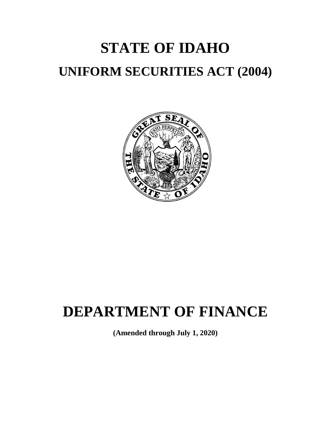# **STATE OF IDAHO UNIFORM SECURITIES ACT (2004)**



## **DEPARTMENT OF FINANCE**

**(Amended through July 1, 2020)**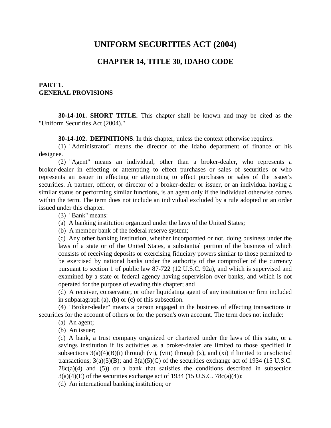## **UNIFORM SECURITIES ACT (2004)**

## **CHAPTER 14, TITLE 30, IDAHO CODE**

### **PART 1. GENERAL PROVISIONS**

**30-14-101. SHORT TITLE.** This chapter shall be known and may be cited as the "Uniform Securities Act (2004)."

**30-14-102. DEFINITIONS**. In this chapter, unless the context otherwise requires:

(1) "Administrator" means the director of the Idaho department of finance or his designee.

(2) "Agent" means an individual, other than a broker-dealer, who represents a broker-dealer in effecting or attempting to effect purchases or sales of securities or who represents an issuer in effecting or attempting to effect purchases or sales of the issuer's securities. A partner, officer, or director of a broker-dealer or issuer, or an individual having a similar status or performing similar functions, is an agent only if the individual otherwise comes within the term. The term does not include an individual excluded by a rule adopted or an order issued under this chapter.

(3) "Bank" means:

(a) A banking institution organized under the laws of the United States;

(b) A member bank of the federal reserve system;

(c) Any other banking institution, whether incorporated or not, doing business under the laws of a state or of the United States, a substantial portion of the business of which consists of receiving deposits or exercising fiduciary powers similar to those permitted to be exercised by national banks under the authority of the comptroller of the currency pursuant to section 1 of public law 87-722 (12 U.S.C. 92a), and which is supervised and examined by a state or federal agency having supervision over banks, and which is not operated for the purpose of evading this chapter; and

(d) A receiver, conservator, or other liquidating agent of any institution or firm included in subparagraph (a), (b) or (c) of this subsection.

(4) "Broker-dealer" means a person engaged in the business of effecting transactions in securities for the account of others or for the person's own account. The term does not include:

(a) An agent;

(b) An issuer;

(c) A bank, a trust company organized or chartered under the laws of this state, or a savings institution if its activities as a broker-dealer are limited to those specified in subsections  $3(a)(4)(B)(i)$  through (vi), (viii) through (x), and (xi) if limited to unsolicited transactions;  $3(a)(5)(B)$ ; and  $3(a)(5)(C)$  of the securities exchange act of 1934 (15 U.S.C.  $78c(a)(4)$  and  $(5)$ ) or a bank that satisfies the conditions described in subsection  $3(a)(4)(E)$  of the securities exchange act of 1934 (15 U.S.C. 78 $c(a)(4)$ );

(d) An international banking institution; or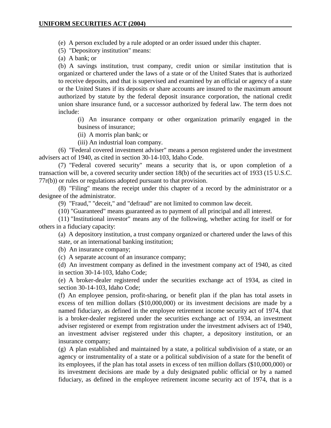(e) A person excluded by a rule adopted or an order issued under this chapter.

(5) "Depository institution" means:

(a) A bank; or

(b) A savings institution, trust company, credit union or similar institution that is organized or chartered under the laws of a state or of the United States that is authorized to receive deposits, and that is supervised and examined by an official or agency of a state or the United States if its deposits or share accounts are insured to the maximum amount authorized by statute by the federal deposit insurance corporation, the national credit union share insurance fund, or a successor authorized by federal law. The term does not include:

(i) An insurance company or other organization primarily engaged in the business of insurance;

(ii) A morris plan bank; or

(iii) An industrial loan company.

(6) "Federal covered investment adviser" means a person registered under the investment advisers act of 1940, as cited in section 30-14-103, Idaho Code.

(7) "Federal covered security" means a security that is, or upon completion of a transaction will be, a covered security under section 18(b) of the securities act of 1933 (15 U.S.C. 77r(b)) or rules or regulations adopted pursuant to that provision.

(8) "Filing" means the receipt under this chapter of a record by the administrator or a designee of the administrator.

(9) "Fraud," "deceit," and "defraud" are not limited to common law deceit.

(10) "Guaranteed" means guaranteed as to payment of all principal and all interest.

(11) "Institutional investor" means any of the following, whether acting for itself or for others in a fiduciary capacity:

(a) A depository institution, a trust company organized or chartered under the laws of this state, or an international banking institution;

(b) An insurance company;

(c) A separate account of an insurance company;

(d) An investment company as defined in the investment company act of 1940, as cited in section 30-14-103, Idaho Code;

(e) A broker-dealer registered under the securities exchange act of 1934, as cited in section 30-14-103, Idaho Code;

(f) An employee pension, profit-sharing, or benefit plan if the plan has total assets in excess of ten million dollars (\$10,000,000) or its investment decisions are made by a named fiduciary, as defined in the employee retirement income security act of 1974, that is a broker-dealer registered under the securities exchange act of 1934, an investment adviser registered or exempt from registration under the investment advisers act of 1940, an investment adviser registered under this chapter, a depository institution, or an insurance company;

(g) A plan established and maintained by a state, a political subdivision of a state, or an agency or instrumentality of a state or a political subdivision of a state for the benefit of its employees, if the plan has total assets in excess of ten million dollars (\$10,000,000) or its investment decisions are made by a duly designated public official or by a named fiduciary, as defined in the employee retirement income security act of 1974, that is a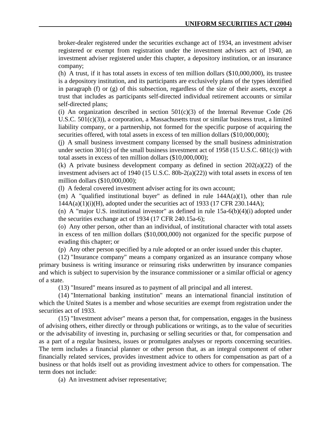broker-dealer registered under the securities exchange act of 1934, an investment adviser registered or exempt from registration under the investment advisers act of 1940, an investment adviser registered under this chapter, a depository institution, or an insurance company;

(h) A trust, if it has total assets in excess of ten million dollars (\$10,000,000), its trustee is a depository institution, and its participants are exclusively plans of the types identified in paragraph (f) or (g) of this subsection, regardless of the size of their assets, except a trust that includes as participants self-directed individual retirement accounts or similar self-directed plans;

(i) An organization described in section  $501(c)(3)$  of the Internal Revenue Code (26) U.S.C. 501(c)(3)), a corporation, a Massachusetts trust or similar business trust, a limited liability company, or a partnership, not formed for the specific purpose of acquiring the securities offered, with total assets in excess of ten million dollars (\$10,000,000);

(j) A small business investment company licensed by the small business administration under section 301(c) of the small business investment act of 1958 (15 U.S.C. 681(c)) with total assets in excess of ten million dollars (\$10,000,000);

(k) A private business development company as defined in section 202(a)(22) of the investment advisers act of 1940 (15 U.S.C. 80b-2(a)(22)) with total assets in excess of ten million dollars (\$10,000,000);

(l) A federal covered investment adviser acting for its own account;

(m) A "qualified institutional buyer" as defined in rule  $144A(a)(1)$ , other than rule  $144A(a)(1)(i)(H)$ , adopted under the securities act of 1933 (17 CFR 230.144A);

(n) A "major U.S. institutional investor" as defined in rule 15a-6(b)(4)(i) adopted under the securities exchange act of 1934 (17 CFR 240.15a-6);

(o) Any other person, other than an individual, of institutional character with total assets in excess of ten million dollars (\$10,000,000) not organized for the specific purpose of evading this chapter; or

(p) Any other person specified by a rule adopted or an order issued under this chapter.

(12) "Insurance company" means a company organized as an insurance company whose primary business is writing insurance or reinsuring risks underwritten by insurance companies and which is subject to supervision by the insurance commissioner or a similar official or agency of a state.

(13) "Insured" means insured as to payment of all principal and all interest.

(14) "International banking institution" means an international financial institution of which the United States is a member and whose securities are exempt from registration under the securities act of 1933.

(15) "Investment adviser" means a person that, for compensation, engages in the business of advising others, either directly or through publications or writings, as to the value of securities or the advisability of investing in, purchasing or selling securities or that, for compensation and as a part of a regular business, issues or promulgates analyses or reports concerning securities. The term includes a financial planner or other person that, as an integral component of other financially related services, provides investment advice to others for compensation as part of a business or that holds itself out as providing investment advice to others for compensation. The term does not include:

(a) An investment adviser representative;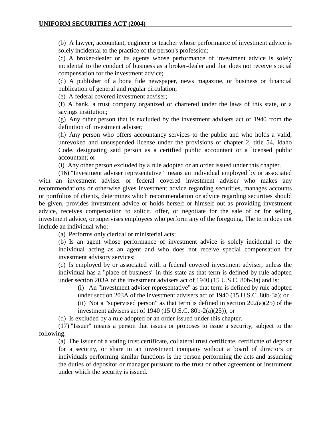(b) A lawyer, accountant, engineer or teacher whose performance of investment advice is solely incidental to the practice of the person's profession;

(c) A broker-dealer or its agents whose performance of investment advice is solely incidental to the conduct of business as a broker-dealer and that does not receive special compensation for the investment advice;

(d) A publisher of a bona fide newspaper, news magazine, or business or financial publication of general and regular circulation;

(e) A federal covered investment adviser;

(f) A bank, a trust company organized or chartered under the laws of this state, or a savings institution;

(g) Any other person that is excluded by the investment advisers act of 1940 from the definition of investment adviser;

(h) Any person who offers accountancy services to the public and who holds a valid, unrevoked and unsuspended license under the provisions of chapter 2, title 54, Idaho Code, designating said person as a certified public accountant or a licensed public accountant; or

(i) Any other person excluded by a rule adopted or an order issued under this chapter.

(16) "Investment adviser representative" means an individual employed by or associated with an investment adviser or federal covered investment adviser who makes any recommendations or otherwise gives investment advice regarding securities, manages accounts or portfolios of clients, determines which recommendation or advice regarding securities should be given, provides investment advice or holds herself or himself out as providing investment advice, receives compensation to solicit, offer, or negotiate for the sale of or for selling investment advice, or supervises employees who perform any of the foregoing. The term does not include an individual who:

(a) Performs only clerical or ministerial acts;

(b) Is an agent whose performance of investment advice is solely incidental to the individual acting as an agent and who does not receive special compensation for investment advisory services;

(c) Is employed by or associated with a federal covered investment adviser, unless the individual has a "place of business" in this state as that term is defined by rule adopted under section 203A of the investment advisers act of 1940 (15 U.S.C. 80b-3a) and is:

(i) An "investment adviser representative" as that term is defined by rule adopted under section 203A of the investment advisers act of 1940 (15 U.S.C. 80b-3a); or

(ii) Not a "supervised person" as that term is defined in section  $202(a)(25)$  of the investment advisers act of 1940 (15 U.S.C. 80b-2(a)(25)); or

(d) Is excluded by a rule adopted or an order issued under this chapter.

(17) "Issuer" means a person that issues or proposes to issue a security, subject to the following:

(a) The issuer of a voting trust certificate, collateral trust certificate, certificate of deposit for a security, or share in an investment company without a board of directors or individuals performing similar functions is the person performing the acts and assuming the duties of depositor or manager pursuant to the trust or other agreement or instrument under which the security is issued.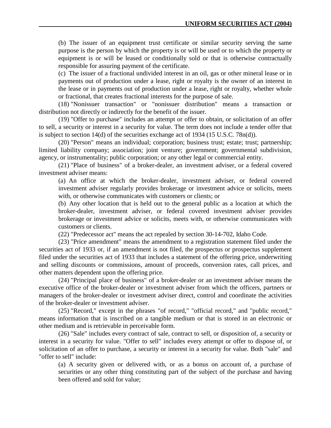(b) The issuer of an equipment trust certificate or similar security serving the same purpose is the person by which the property is or will be used or to which the property or equipment is or will be leased or conditionally sold or that is otherwise contractually responsible for assuring payment of the certificate.

(c) The issuer of a fractional undivided interest in an oil, gas or other mineral lease or in payments out of production under a lease, right or royalty is the owner of an interest in the lease or in payments out of production under a lease, right or royalty, whether whole or fractional, that creates fractional interests for the purpose of sale.

(18) "Nonissuer transaction" or "nonissuer distribution" means a transaction or distribution not directly or indirectly for the benefit of the issuer.

(19) "Offer to purchase" includes an attempt or offer to obtain, or solicitation of an offer to sell, a security or interest in a security for value. The term does not include a tender offer that is subject to section 14(d) of the securities exchange act of 1934 (15 U.S.C. 78n(d)).

(20) "Person" means an individual; corporation; business trust; estate; trust; partnership; limited liability company; association; joint venture; government; governmental subdivision, agency, or instrumentality; public corporation; or any other legal or commercial entity.

(21) "Place of business" of a broker-dealer, an investment adviser, or a federal covered investment adviser means:

(a) An office at which the broker-dealer, investment adviser, or federal covered investment adviser regularly provides brokerage or investment advice or solicits, meets with, or otherwise communicates with customers or clients; or

(b) Any other location that is held out to the general public as a location at which the broker-dealer, investment adviser, or federal covered investment adviser provides brokerage or investment advice or solicits, meets with, or otherwise communicates with customers or clients.

(22) "Predecessor act" means the act repealed by section 30-14-702, Idaho Code.

(23) "Price amendment" means the amendment to a registration statement filed under the securities act of 1933 or, if an amendment is not filed, the prospectus or prospectus supplement filed under the securities act of 1933 that includes a statement of the offering price, underwriting and selling discounts or commissions, amount of proceeds, conversion rates, call prices, and other matters dependent upon the offering price.

(24) "Principal place of business" of a broker-dealer or an investment adviser means the executive office of the broker-dealer or investment adviser from which the officers, partners or managers of the broker-dealer or investment adviser direct, control and coordinate the activities of the broker-dealer or investment adviser.

(25) "Record," except in the phrases "of record," "official record," and "public record," means information that is inscribed on a tangible medium or that is stored in an electronic or other medium and is retrievable in perceivable form.

(26) "Sale" includes every contract of sale, contract to sell, or disposition of, a security or interest in a security for value. "Offer to sell" includes every attempt or offer to dispose of, or solicitation of an offer to purchase, a security or interest in a security for value. Both "sale" and "offer to sell" include:

(a) A security given or delivered with, or as a bonus on account of, a purchase of securities or any other thing constituting part of the subject of the purchase and having been offered and sold for value;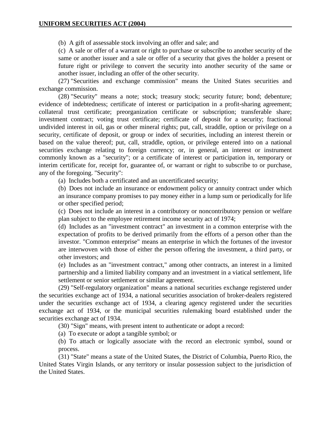(b) A gift of assessable stock involving an offer and sale; and

(c) A sale or offer of a warrant or right to purchase or subscribe to another security of the same or another issuer and a sale or offer of a security that gives the holder a present or future right or privilege to convert the security into another security of the same or another issuer, including an offer of the other security.

(27) "Securities and exchange commission" means the United States securities and exchange commission.

(28) "Security" means a note; stock; treasury stock; security future; bond; debenture; evidence of indebtedness; certificate of interest or participation in a profit-sharing agreement; collateral trust certificate; preorganization certificate or subscription; transferable share; investment contract; voting trust certificate; certificate of deposit for a security; fractional undivided interest in oil, gas or other mineral rights; put, call, straddle, option or privilege on a security, certificate of deposit, or group or index of securities, including an interest therein or based on the value thereof; put, call, straddle, option, or privilege entered into on a national securities exchange relating to foreign currency; or, in general, an interest or instrument commonly known as a "security"; or a certificate of interest or participation in, temporary or interim certificate for, receipt for, guarantee of, or warrant or right to subscribe to or purchase, any of the foregoing. "Security":

(a) Includes both a certificated and an uncertificated security;

(b) Does not include an insurance or endowment policy or annuity contract under which an insurance company promises to pay money either in a lump sum or periodically for life or other specified period;

(c) Does not include an interest in a contributory or noncontributory pension or welfare plan subject to the employee retirement income security act of 1974;

(d) Includes as an "investment contract" an investment in a common enterprise with the expectation of profits to be derived primarily from the efforts of a person other than the investor. "Common enterprise" means an enterprise in which the fortunes of the investor are interwoven with those of either the person offering the investment, a third party, or other investors; and

(e) Includes as an "investment contract," among other contracts, an interest in a limited partnership and a limited liability company and an investment in a viatical settlement, life settlement or senior settlement or similar agreement.

(29) "Self-regulatory organization" means a national securities exchange registered under the securities exchange act of 1934, a national securities association of broker-dealers registered under the securities exchange act of 1934, a clearing agency registered under the securities exchange act of 1934, or the municipal securities rulemaking board established under the securities exchange act of 1934.

(30) "Sign" means, with present intent to authenticate or adopt a record:

(a) To execute or adopt a tangible symbol; or

(b) To attach or logically associate with the record an electronic symbol, sound or process.

(31) "State" means a state of the United States, the District of Columbia, Puerto Rico, the United States Virgin Islands, or any territory or insular possession subject to the jurisdiction of the United States.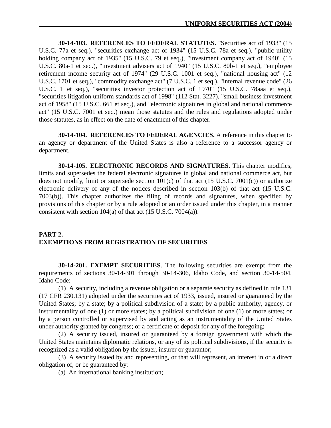**30-14-103. REFERENCES TO FEDERAL STATUTES.** "Securities act of 1933" (15 U.S.C. 77a et seq.), "securities exchange act of 1934" (15 U.S.C. 78a et seq.), "public utility holding company act of 1935" (15 U.S.C. 79 et seq.), "investment company act of 1940" (15 U.S.C. 80a-1 et seq.), "investment advisers act of 1940" (15 U.S.C. 80b-1 et seq.), "employee retirement income security act of 1974" (29 U.S.C. 1001 et seq.), "national housing act" (12 U.S.C. 1701 et seq.), "commodity exchange act" (7 U.S.C. 1 et seq.), "internal revenue code" (26 U.S.C. 1 et seq.), "securities investor protection act of 1970" (15 U.S.C. 78aaa et seq.), "securities litigation uniform standards act of 1998" (112 Stat. 3227), "small business investment act of 1958" (15 U.S.C. 661 et seq.), and "electronic signatures in global and national commerce act" (15 U.S.C. 7001 et seq.) mean those statutes and the rules and regulations adopted under those statutes, as in effect on the date of enactment of this chapter.

**30-14-104. REFERENCES TO FEDERAL AGENCIES.** A reference in this chapter to an agency or department of the United States is also a reference to a successor agency or department.

**30-14-105. ELECTRONIC RECORDS AND SIGNATURES.** This chapter modifies, limits and supersedes the federal electronic signatures in global and national commerce act, but does not modify, limit or supersede section  $101(c)$  of that act (15 U.S.C. 7001(c)) or authorize electronic delivery of any of the notices described in section 103(b) of that act (15 U.S.C. 7003(b)). This chapter authorizes the filing of records and signatures, when specified by provisions of this chapter or by a rule adopted or an order issued under this chapter, in a manner consistent with section 104(a) of that act (15 U.S.C. 7004(a)).

## **PART 2. EXEMPTIONS FROM REGISTRATION OF SECURITIES**

**30-14-201. EXEMPT SECURITIES**. The following securities are exempt from the requirements of sections 30-14-301 through 30-14-306, Idaho Code, and section 30-14-504, Idaho Code:

(1) A security, including a revenue obligation or a separate security as defined in rule 131 (17 CFR 230.131) adopted under the securities act of 1933, issued, insured or guaranteed by the United States; by a state; by a political subdivision of a state; by a public authority, agency, or instrumentality of one (1) or more states; by a political subdivision of one (1) or more states; or by a person controlled or supervised by and acting as an instrumentality of the United States under authority granted by congress; or a certificate of deposit for any of the foregoing;

(2) A security issued, insured or guaranteed by a foreign government with which the United States maintains diplomatic relations, or any of its political subdivisions, if the security is recognized as a valid obligation by the issuer, insurer or guarantor;

(3) A security issued by and representing, or that will represent, an interest in or a direct obligation of, or be guaranteed by:

(a) An international banking institution;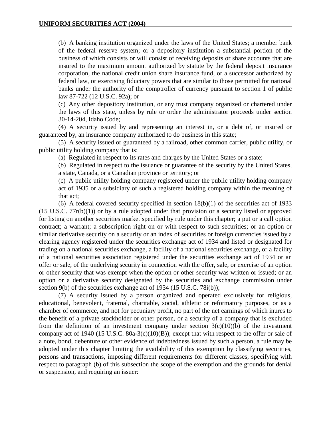(b) A banking institution organized under the laws of the United States; a member bank of the federal reserve system; or a depository institution a substantial portion of the business of which consists or will consist of receiving deposits or share accounts that are insured to the maximum amount authorized by statute by the federal deposit insurance corporation, the national credit union share insurance fund, or a successor authorized by federal law, or exercising fiduciary powers that are similar to those permitted for national banks under the authority of the comptroller of currency pursuant to section 1 of public law 87-722 (12 U.S.C. 92a); or

(c) Any other depository institution, or any trust company organized or chartered under the laws of this state, unless by rule or order the administrator proceeds under section 30-14-204, Idaho Code;

(4) A security issued by and representing an interest in, or a debt of, or insured or guaranteed by, an insurance company authorized to do business in this state;

(5) A security issued or guaranteed by a railroad, other common carrier, public utility, or public utility holding company that is:

(a) Regulated in respect to its rates and charges by the United States or a state;

(b) Regulated in respect to the issuance or guarantee of the security by the United States, a state, Canada, or a Canadian province or territory; or

(c) A public utility holding company registered under the public utility holding company act of 1935 or a subsidiary of such a registered holding company within the meaning of that act;

(6) A federal covered security specified in section  $18(b)(1)$  of the securities act of 1933 (15 U.S.C. 77r(b)(1)) or by a rule adopted under that provision or a security listed or approved for listing on another securities market specified by rule under this chapter; a put or a call option contract; a warrant; a subscription right on or with respect to such securities; or an option or similar derivative security on a security or an index of securities or foreign currencies issued by a clearing agency registered under the securities exchange act of 1934 and listed or designated for trading on a national securities exchange, a facility of a national securities exchange, or a facility of a national securities association registered under the securities exchange act of 1934 or an offer or sale, of the underlying security in connection with the offer, sale, or exercise of an option or other security that was exempt when the option or other security was written or issued; or an option or a derivative security designated by the securities and exchange commission under section 9(b) of the securities exchange act of 1934 (15 U.S.C. 78i(b));

(7) A security issued by a person organized and operated exclusively for religious, educational, benevolent, fraternal, charitable, social, athletic or reformatory purposes, or as a chamber of commerce, and not for pecuniary profit, no part of the net earnings of which inures to the benefit of a private stockholder or other person, or a security of a company that is excluded from the definition of an investment company under section  $3(c)(10)(b)$  of the investment company act of 1940 (15 U.S.C. 80a-3(c)(10)(B)); except that with respect to the offer or sale of a note, bond, debenture or other evidence of indebtedness issued by such a person, a rule may be adopted under this chapter limiting the availability of this exemption by classifying securities, persons and transactions, imposing different requirements for different classes, specifying with respect to paragraph (b) of this subsection the scope of the exemption and the grounds for denial or suspension, and requiring an issuer: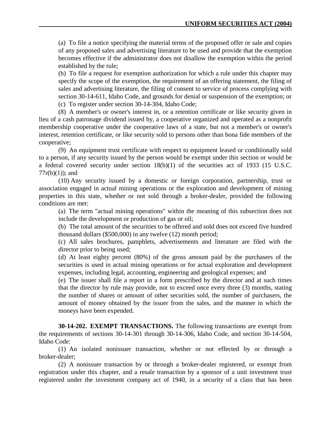(a) To file a notice specifying the material terms of the proposed offer or sale and copies of any proposed sales and advertising literature to be used and provide that the exemption becomes effective if the administrator does not disallow the exemption within the period established by the rule;

(b) To file a request for exemption authorization for which a rule under this chapter may specify the scope of the exemption, the requirement of an offering statement, the filing of sales and advertising literature, the filing of consent to service of process complying with section 30-14-611, Idaho Code, and grounds for denial or suspension of the exemption; or (c) To register under section 30-14-304, Idaho Code;

(8) A member's or owner's interest in, or a retention certificate or like security given in lieu of a cash patronage dividend issued by, a cooperative organized and operated as a nonprofit membership cooperative under the cooperative laws of a state, but not a member's or owner's interest, retention certificate, or like security sold to persons other than bona fide members of the cooperative;

(9) An equipment trust certificate with respect to equipment leased or conditionally sold to a person, if any security issued by the person would be exempt under this section or would be a federal covered security under section 18(b)(1) of the securities act of 1933 (15 U.S.C.  $77r(b)(1)$ ; and

(10) Any security issued by a domestic or foreign corporation, partnership, trust or association engaged in actual mining operations or the exploration and development of mining properties in this state, whether or not sold through a broker-dealer, provided the following conditions are met:

(a) The term "actual mining operations" within the meaning of this subsection does not include the development or production of gas or oil;

(b) The total amount of the securities to be offered and sold does not exceed five hundred thousand dollars (\$500,000) in any twelve (12) month period;

(c) All sales brochures, pamphlets, advertisements and literature are filed with the director prior to being used;

(d) At least eighty percent (80%) of the gross amount paid by the purchasers of the securities is used in actual mining operations or for actual exploration and development expenses, including legal, accounting, engineering and geological expenses; and

(e) The issuer shall file a report in a form prescribed by the director and at such times that the director by rule may provide, not to exceed once every three (3) months, stating the number of shares or amount of other securities sold, the number of purchasers, the amount of money obtained by the issuer from the sales, and the manner in which the moneys have been expended.

**30-14-202. EXEMPT TRANSACTIONS.** The following transactions are exempt from the requirements of sections 30-14-301 through 30-14-306, Idaho Code, and section 30-14-504, Idaho Code:

(1) An isolated nonissuer transaction, whether or not effected by or through a broker-dealer;

(2) A nonissuer transaction by or through a broker-dealer registered, or exempt from registration under this chapter, and a resale transaction by a sponsor of a unit investment trust registered under the investment company act of 1940, in a security of a class that has been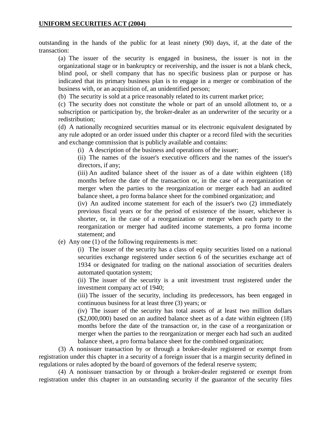outstanding in the hands of the public for at least ninety (90) days, if, at the date of the transaction:

(a) The issuer of the security is engaged in business, the issuer is not in the organizational stage or in bankruptcy or receivership, and the issuer is not a blank check, blind pool, or shell company that has no specific business plan or purpose or has indicated that its primary business plan is to engage in a merger or combination of the business with, or an acquisition of, an unidentified person;

(b) The security is sold at a price reasonably related to its current market price;

(c) The security does not constitute the whole or part of an unsold allotment to, or a subscription or participation by, the broker-dealer as an underwriter of the security or a redistribution;

(d) A nationally recognized securities manual or its electronic equivalent designated by any rule adopted or an order issued under this chapter or a record filed with the securities and exchange commission that is publicly available and contains:

(i) A description of the business and operations of the issuer;

(ii) The names of the issuer's executive officers and the names of the issuer's directors, if any;

(iii) An audited balance sheet of the issuer as of a date within eighteen (18) months before the date of the transaction or, in the case of a reorganization or merger when the parties to the reorganization or merger each had an audited balance sheet, a pro forma balance sheet for the combined organization; and

(iv) An audited income statement for each of the issuer's two (2) immediately previous fiscal years or for the period of existence of the issuer, whichever is shorter, or, in the case of a reorganization or merger when each party to the reorganization or merger had audited income statements, a pro forma income statement; and

(e) Any one (1) of the following requirements is met:

(i) The issuer of the security has a class of equity securities listed on a national securities exchange registered under section 6 of the securities exchange act of 1934 or designated for trading on the national association of securities dealers automated quotation system;

(ii) The issuer of the security is a unit investment trust registered under the investment company act of 1940;

(iii) The issuer of the security, including its predecessors, has been engaged in continuous business for at least three (3) years; or

(iv) The issuer of the security has total assets of at least two million dollars (\$2,000,000) based on an audited balance sheet as of a date within eighteen (18) months before the date of the transaction or, in the case of a reorganization or merger when the parties to the reorganization or merger each had such an audited balance sheet, a pro forma balance sheet for the combined organization;

(3) A nonissuer transaction by or through a broker-dealer registered or exempt from registration under this chapter in a security of a foreign issuer that is a margin security defined in regulations or rules adopted by the board of governors of the federal reserve system;

(4) A nonissuer transaction by or through a broker-dealer registered or exempt from registration under this chapter in an outstanding security if the guarantor of the security files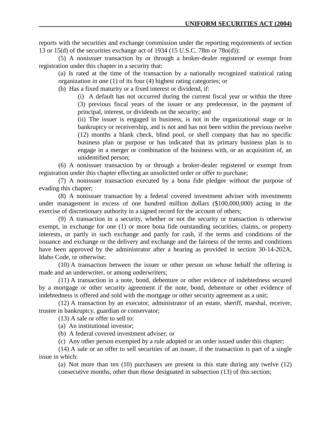reports with the securities and exchange commission under the reporting requirements of section 13 or 15(d) of the securities exchange act of 1934 (15 U.S.C. 78m or 78o(d));

(5) A nonissuer transaction by or through a broker-dealer registered or exempt from registration under this chapter in a security that:

(a) Is rated at the time of the transaction by a nationally recognized statistical rating organization in one (1) of its four (4) highest rating categories; or

(b) Has a fixed maturity or a fixed interest or dividend, if:

(i) A default has not occurred during the current fiscal year or within the three

(3) previous fiscal years of the issuer or any predecessor, in the payment of principal, interest, or dividends on the security; and

(ii) The issuer is engaged in business, is not in the organizational stage or in bankruptcy or receivership, and is not and has not been within the previous twelve (12) months a blank check, blind pool, or shell company that has no specific business plan or purpose or has indicated that its primary business plan is to engage in a merger or combination of the business with, or an acquisition of, an unidentified person;

(6) A nonissuer transaction by or through a broker-dealer registered or exempt from registration under this chapter effecting an unsolicited order or offer to purchase;

(7) A nonissuer transaction executed by a bona fide pledgee without the purpose of evading this chapter;

(8) A nonissuer transaction by a federal covered investment adviser with investments under management in excess of one hundred million dollars (\$100,000,000) acting in the exercise of discretionary authority in a signed record for the account of others;

(9) A transaction in a security, whether or not the security or transaction is otherwise exempt, in exchange for one (1) or more bona fide outstanding securities, claims, or property interests, or partly in such exchange and partly for cash, if the terms and conditions of the issuance and exchange or the delivery and exchange and the fairness of the terms and conditions have been approved by the administrator after a hearing as provided in section 30-14-202A, Idaho Code, or otherwise;

(10) A transaction between the issuer or other person on whose behalf the offering is made and an underwriter, or among underwriters;

(11) A transaction in a note, bond, debenture or other evidence of indebtedness secured by a mortgage or other security agreement if the note, bond, debenture or other evidence of indebtedness is offered and sold with the mortgage or other security agreement as a unit;

(12) A transaction by an executor, administrator of an estate, sheriff, marshal, receiver, trustee in bankruptcy, guardian or conservator;

(13) A sale or offer to sell to:

(a) An institutional investor;

(b) A federal covered investment adviser; or

(c) Any other person exempted by a rule adopted or an order issued under this chapter;

(14) A sale or an offer to sell securities of an issuer, if the transaction is part of a single issue in which:

(a) Not more than ten (10) purchasers are present in this state during any twelve (12) consecutive months, other than those designated in subsection (13) of this section;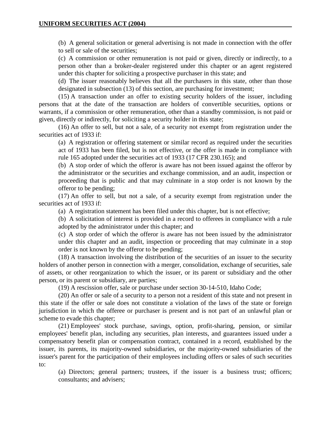(b) A general solicitation or general advertising is not made in connection with the offer to sell or sale of the securities;

(c) A commission or other remuneration is not paid or given, directly or indirectly, to a person other than a broker-dealer registered under this chapter or an agent registered under this chapter for soliciting a prospective purchaser in this state; and

(d) The issuer reasonably believes that all the purchasers in this state, other than those designated in subsection (13) of this section, are purchasing for investment;

(15) A transaction under an offer to existing security holders of the issuer, including persons that at the date of the transaction are holders of convertible securities, options or warrants, if a commission or other remuneration, other than a standby commission, is not paid or given, directly or indirectly, for soliciting a security holder in this state;

(16) An offer to sell, but not a sale, of a security not exempt from registration under the securities act of 1933 if:

(a) A registration or offering statement or similar record as required under the securities act of 1933 has been filed, but is not effective, or the offer is made in compliance with rule 165 adopted under the securities act of 1933 (17 CFR 230.165); and

(b) A stop order of which the offeror is aware has not been issued against the offeror by the administrator or the securities and exchange commission, and an audit, inspection or proceeding that is public and that may culminate in a stop order is not known by the offeror to be pending;

(17) An offer to sell, but not a sale, of a security exempt from registration under the securities act of 1933 if:

(a) A registration statement has been filed under this chapter, but is not effective;

(b) A solicitation of interest is provided in a record to offerees in compliance with a rule adopted by the administrator under this chapter; and

(c) A stop order of which the offeror is aware has not been issued by the administrator under this chapter and an audit, inspection or proceeding that may culminate in a stop order is not known by the offeror to be pending;

(18) A transaction involving the distribution of the securities of an issuer to the security holders of another person in connection with a merger, consolidation, exchange of securities, sale of assets, or other reorganization to which the issuer, or its parent or subsidiary and the other person, or its parent or subsidiary, are parties;

(19) A rescission offer, sale or purchase under section 30-14-510, Idaho Code;

(20) An offer or sale of a security to a person not a resident of this state and not present in this state if the offer or sale does not constitute a violation of the laws of the state or foreign jurisdiction in which the offeree or purchaser is present and is not part of an unlawful plan or scheme to evade this chapter;

(21) Employees' stock purchase, savings, option, profit-sharing, pension, or similar employees' benefit plan, including any securities, plan interests, and guarantees issued under a compensatory benefit plan or compensation contract, contained in a record, established by the issuer, its parents, its majority-owned subsidiaries, or the majority-owned subsidiaries of the issuer's parent for the participation of their employees including offers or sales of such securities to:

(a) Directors; general partners; trustees, if the issuer is a business trust; officers; consultants; and advisers;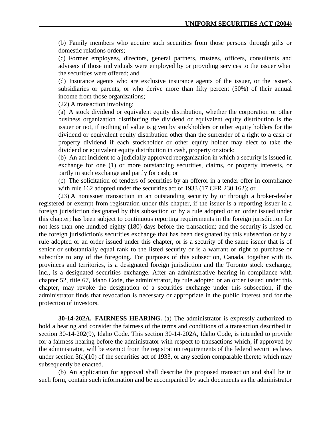(b) Family members who acquire such securities from those persons through gifts or domestic relations orders;

(c) Former employees, directors, general partners, trustees, officers, consultants and advisers if those individuals were employed by or providing services to the issuer when the securities were offered; and

(d) Insurance agents who are exclusive insurance agents of the issuer, or the issuer's subsidiaries or parents, or who derive more than fifty percent (50%) of their annual income from those organizations;

(22) A transaction involving:

(a) A stock dividend or equivalent equity distribution, whether the corporation or other business organization distributing the dividend or equivalent equity distribution is the issuer or not, if nothing of value is given by stockholders or other equity holders for the dividend or equivalent equity distribution other than the surrender of a right to a cash or property dividend if each stockholder or other equity holder may elect to take the dividend or equivalent equity distribution in cash, property or stock;

(b) An act incident to a judicially approved reorganization in which a security is issued in exchange for one (1) or more outstanding securities, claims, or property interests, or partly in such exchange and partly for cash; or

(c) The solicitation of tenders of securities by an offeror in a tender offer in compliance with rule 162 adopted under the securities act of 1933 (17 CFR 230.162); or

(23) A nonissuer transaction in an outstanding security by or through a broker-dealer registered or exempt from registration under this chapter, if the issuer is a reporting issuer in a foreign jurisdiction designated by this subsection or by a rule adopted or an order issued under this chapter; has been subject to continuous reporting requirements in the foreign jurisdiction for not less than one hundred eighty (180) days before the transaction; and the security is listed on the foreign jurisdiction's securities exchange that has been designated by this subsection or by a rule adopted or an order issued under this chapter, or is a security of the same issuer that is of senior or substantially equal rank to the listed security or is a warrant or right to purchase or subscribe to any of the foregoing. For purposes of this subsection, Canada, together with its provinces and territories, is a designated foreign jurisdiction and the Toronto stock exchange, inc., is a designated securities exchange. After an administrative hearing in compliance with chapter 52, title 67, Idaho Code, the administrator, by rule adopted or an order issued under this chapter, may revoke the designation of a securities exchange under this subsection, if the administrator finds that revocation is necessary or appropriate in the public interest and for the protection of investors.

**30-14-202A. FAIRNESS HEARING.** (a) The administrator is expressly authorized to hold a hearing and consider the fairness of the terms and conditions of a transaction described in section 30-14-202(9), Idaho Code. This section 30-14-202A, Idaho Code, is intended to provide for a fairness hearing before the administrator with respect to transactions which, if approved by the administrator, will be exempt from the registration requirements of the federal securities laws under section  $3(a)(10)$  of the securities act of 1933, or any section comparable thereto which may subsequently be enacted.

(b) An application for approval shall describe the proposed transaction and shall be in such form, contain such information and be accompanied by such documents as the administrator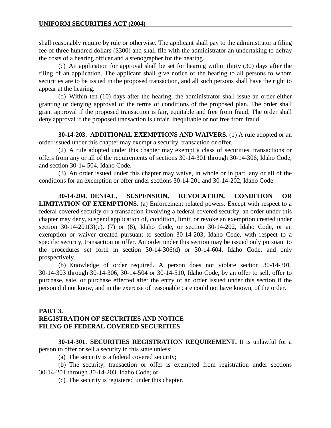shall reasonably require by rule or otherwise. The applicant shall pay to the administrator a filing fee of three hundred dollars (\$300) and shall file with the administrator an undertaking to defray the costs of a hearing officer and a stenographer for the hearing.

(c) An application for approval shall be set for hearing within thirty (30) days after the filing of an application. The applicant shall give notice of the hearing to all persons to whom securities are to be issued in the proposed transaction, and all such persons shall have the right to appear at the hearing.

(d) Within ten (10) days after the hearing, the administrator shall issue an order either granting or denying approval of the terms of conditions of the proposed plan. The order shall grant approval if the proposed transaction is fair, equitable and free from fraud. The order shall deny approval if the proposed transaction is unfair, inequitable or not free from fraud.

**30-14-203. ADDITIONAL EXEMPTIONS AND WAIVERS.** (1) A rule adopted or an order issued under this chapter may exempt a security, transaction or offer.

(2) A rule adopted under this chapter may exempt a class of securities, transactions or offers from any or all of the requirements of sections 30-14-301 through 30-14-306, Idaho Code, and section 30-14-504, Idaho Code.

(3) An order issued under this chapter may waive, in whole or in part, any or all of the conditions for an exemption or offer under sections 30-14-201 and 30-14-202, Idaho Code.

**30-14-204. DENIAL, SUSPENSION, REVOCATION, CONDITION OR LIMITATION OF EXEMPTIONS.** (a) Enforcement related powers. Except with respect to a federal covered security or a transaction involving a federal covered security, an order under this chapter may deny, suspend application of, condition, limit, or revoke an exemption created under section 30-14-201(3)(c), (7) or (8), Idaho Code, or section 30-14-202, Idaho Code, or an exemption or waiver created pursuant to section 30-14-203, Idaho Code, with respect to a specific security, transaction or offer. An order under this section may be issued only pursuant to the procedures set forth in section 30-14-306(d) or 30-14-604, Idaho Code, and only prospectively.

(b) Knowledge of order required. A person does not violate section 30-14-301, 30-14-303 through 30-14-306, 30-14-504 or 30-14-510, Idaho Code, by an offer to sell, offer to purchase, sale, or purchase effected after the entry of an order issued under this section if the person did not know, and in the exercise of reasonable care could not have known, of the order.

## **PART 3. REGISTRATION OF SECURITIES AND NOTICE FILING OF FEDERAL COVERED SECURITIES**

**30-14-301. SECURITIES REGISTRATION REQUIREMENT.** It is unlawful for a person to offer or sell a security in this state unless:

(a) The security is a federal covered security;

- (b) The security, transaction or offer is exempted from registration under sections 30-14-201 through 30-14-203, Idaho Code; or
	- (c) The security is registered under this chapter.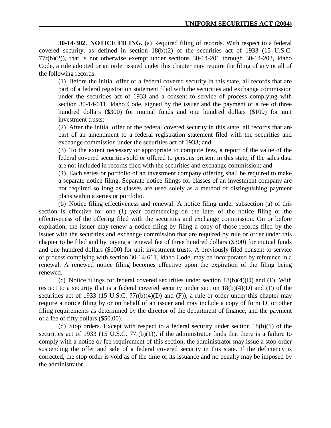**30-14-302. NOTICE FILING.** (a) Required filing of records. With respect to a federal covered security, as defined in section 18(b)(2) of the securities act of 1933 (15 U.S.C.  $77r(b)(2)$ ), that is not otherwise exempt under sections 30-14-201 through 30-14-203, Idaho Code, a rule adopted or an order issued under this chapter may require the filing of any or all of the following records:

(1) Before the initial offer of a federal covered security in this state, all records that are part of a federal registration statement filed with the securities and exchange commission under the securities act of 1933 and a consent to service of process complying with section 30-14-611, Idaho Code, signed by the issuer and the payment of a fee of three hundred dollars (\$300) for mutual funds and one hundred dollars (\$100) for unit investment trusts;

(2) After the initial offer of the federal covered security in this state, all records that are part of an amendment to a federal registration statement filed with the securities and exchange commission under the securities act of 1933; and

(3) To the extent necessary or appropriate to compute fees, a report of the value of the federal covered securities sold or offered to persons present in this state, if the sales data are not included in records filed with the securities and exchange commission; and

(4) Each series or portfolio of an investment company offering shall be required to make a separate notice filing. Separate notice filings for classes of an investment company are not required so long as classes are used solely as a method of distinguishing payment plans within a series or portfolio.

(b) Notice filing effectiveness and renewal. A notice filing under subsection (a) of this section is effective for one (1) year commencing on the later of the notice filing or the effectiveness of the offering filed with the securities and exchange commission. On or before expiration, the issuer may renew a notice filing by filing a copy of those records filed by the issuer with the securities and exchange commission that are required by rule or order under this chapter to be filed and by paying a renewal fee of three hundred dollars (\$300) for mutual funds and one hundred dollars (\$100) for unit investment trusts. A previously filed consent to service of process complying with section 30-14-611, Idaho Code, may be incorporated by reference in a renewal. A renewed notice filing becomes effective upon the expiration of the filing being renewed.

(c) Notice filings for federal covered securities under section 18(b)(4)(D) and (F). With respect to a security that is a federal covered security under section 18(b)(4)(D) and (F) of the securities act of 1933 (15 U.S.C.  $77r(b)(4)(D)$  and (F)), a rule or order under this chapter may require a notice filing by or on behalf of an issuer and may include a copy of form D, or other filing requirements as determined by the director of the department of finance, and the payment of a fee of fifty dollars (\$50.00).

(d) Stop orders. Except with respect to a federal security under section  $18(b)(1)$  of the securities act of 1933 (15 U.S.C. 77r(b)(1)), if the administrator finds that there is a failure to comply with a notice or fee requirement of this section, the administrator may issue a stop order suspending the offer and sale of a federal covered security in this state. If the deficiency is corrected, the stop order is void as of the time of its issuance and no penalty may be imposed by the administrator.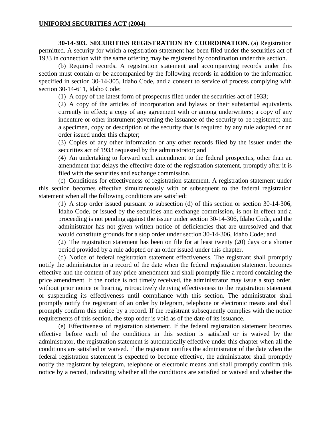**30-14-303. SECURITIES REGISTRATION BY COORDINATION.** (a) Registration permitted. A security for which a registration statement has been filed under the securities act of 1933 in connection with the same offering may be registered by coordination under this section.

(b) Required records. A registration statement and accompanying records under this section must contain or be accompanied by the following records in addition to the information specified in section 30-14-305, Idaho Code, and a consent to service of process complying with section 30-14-611, Idaho Code:

(1) A copy of the latest form of prospectus filed under the securities act of 1933;

(2) A copy of the articles of incorporation and bylaws or their substantial equivalents currently in effect; a copy of any agreement with or among underwriters; a copy of any indenture or other instrument governing the issuance of the security to be registered; and a specimen, copy or description of the security that is required by any rule adopted or an order issued under this chapter;

(3) Copies of any other information or any other records filed by the issuer under the securities act of 1933 requested by the administrator; and

(4) An undertaking to forward each amendment to the federal prospectus, other than an amendment that delays the effective date of the registration statement, promptly after it is filed with the securities and exchange commission.

(c) Conditions for effectiveness of registration statement. A registration statement under this section becomes effective simultaneously with or subsequent to the federal registration statement when all the following conditions are satisfied:

(1) A stop order issued pursuant to subsection (d) of this section or section 30-14-306, Idaho Code, or issued by the securities and exchange commission, is not in effect and a proceeding is not pending against the issuer under section 30-14-306, Idaho Code, and the administrator has not given written notice of deficiencies that are unresolved and that would constitute grounds for a stop order under section 30-14-306, Idaho Code; and

(2) The registration statement has been on file for at least twenty (20) days or a shorter period provided by a rule adopted or an order issued under this chapter.

(d) Notice of federal registration statement effectiveness. The registrant shall promptly notify the administrator in a record of the date when the federal registration statement becomes effective and the content of any price amendment and shall promptly file a record containing the price amendment. If the notice is not timely received, the administrator may issue a stop order, without prior notice or hearing, retroactively denying effectiveness to the registration statement or suspending its effectiveness until compliance with this section. The administrator shall promptly notify the registrant of an order by telegram, telephone or electronic means and shall promptly confirm this notice by a record. If the registrant subsequently complies with the notice requirements of this section, the stop order is void as of the date of its issuance.

(e) Effectiveness of registration statement. If the federal registration statement becomes effective before each of the conditions in this section is satisfied or is waived by the administrator, the registration statement is automatically effective under this chapter when all the conditions are satisfied or waived. If the registrant notifies the administrator of the date when the federal registration statement is expected to become effective, the administrator shall promptly notify the registrant by telegram, telephone or electronic means and shall promptly confirm this notice by a record, indicating whether all the conditions are satisfied or waived and whether the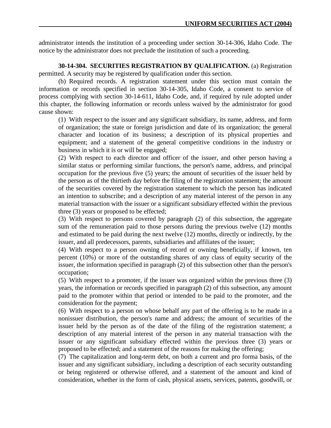administrator intends the institution of a proceeding under section 30-14-306, Idaho Code. The notice by the administrator does not preclude the institution of such a proceeding.

**30-14-304. SECURITIES REGISTRATION BY QUALIFICATION.** (a) Registration permitted. A security may be registered by qualification under this section.

(b) Required records. A registration statement under this section must contain the information or records specified in section 30-14-305, Idaho Code, a consent to service of process complying with section 30-14-611, Idaho Code, and, if required by rule adopted under this chapter, the following information or records unless waived by the administrator for good cause shown:

(1) With respect to the issuer and any significant subsidiary, its name, address, and form of organization; the state or foreign jurisdiction and date of its organization; the general character and location of its business; a description of its physical properties and equipment; and a statement of the general competitive conditions in the industry or business in which it is or will be engaged;

(2) With respect to each director and officer of the issuer, and other person having a similar status or performing similar functions, the person's name, address, and principal occupation for the previous five (5) years; the amount of securities of the issuer held by the person as of the thirtieth day before the filing of the registration statement; the amount of the securities covered by the registration statement to which the person has indicated an intention to subscribe; and a description of any material interest of the person in any material transaction with the issuer or a significant subsidiary effected within the previous three (3) years or proposed to be effected;

(3) With respect to persons covered by paragraph (2) of this subsection, the aggregate sum of the remuneration paid to those persons during the previous twelve (12) months and estimated to be paid during the next twelve (12) months, directly or indirectly, by the issuer, and all predecessors, parents, subsidiaries and affiliates of the issuer;

(4) With respect to a person owning of record or owning beneficially, if known, ten percent (10%) or more of the outstanding shares of any class of equity security of the issuer, the information specified in paragraph (2) of this subsection other than the person's occupation;

(5) With respect to a promoter, if the issuer was organized within the previous three (3) years, the information or records specified in paragraph (2) of this subsection, any amount paid to the promoter within that period or intended to be paid to the promoter, and the consideration for the payment;

(6) With respect to a person on whose behalf any part of the offering is to be made in a nonissuer distribution, the person's name and address; the amount of securities of the issuer held by the person as of the date of the filing of the registration statement; a description of any material interest of the person in any material transaction with the issuer or any significant subsidiary effected within the previous three (3) years or proposed to be effected; and a statement of the reasons for making the offering;

(7) The capitalization and long-term debt, on both a current and pro forma basis, of the issuer and any significant subsidiary, including a description of each security outstanding or being registered or otherwise offered, and a statement of the amount and kind of consideration, whether in the form of cash, physical assets, services, patents, goodwill, or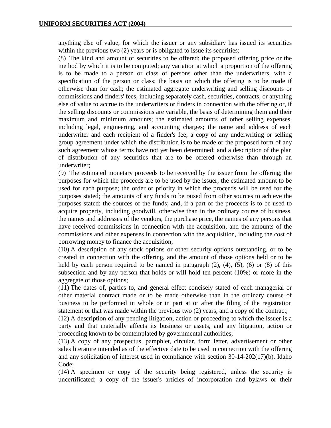anything else of value, for which the issuer or any subsidiary has issued its securities within the previous two (2) years or is obligated to issue its securities;

(8) The kind and amount of securities to be offered; the proposed offering price or the method by which it is to be computed; any variation at which a proportion of the offering is to be made to a person or class of persons other than the underwriters, with a specification of the person or class; the basis on which the offering is to be made if otherwise than for cash; the estimated aggregate underwriting and selling discounts or commissions and finders' fees, including separately cash, securities, contracts, or anything else of value to accrue to the underwriters or finders in connection with the offering or, if the selling discounts or commissions are variable, the basis of determining them and their maximum and minimum amounts; the estimated amounts of other selling expenses, including legal, engineering, and accounting charges; the name and address of each underwriter and each recipient of a finder's fee; a copy of any underwriting or selling group agreement under which the distribution is to be made or the proposed form of any such agreement whose terms have not yet been determined; and a description of the plan of distribution of any securities that are to be offered otherwise than through an underwriter;

(9) The estimated monetary proceeds to be received by the issuer from the offering; the purposes for which the proceeds are to be used by the issuer; the estimated amount to be used for each purpose; the order or priority in which the proceeds will be used for the purposes stated; the amounts of any funds to be raised from other sources to achieve the purposes stated; the sources of the funds; and, if a part of the proceeds is to be used to acquire property, including goodwill, otherwise than in the ordinary course of business, the names and addresses of the vendors, the purchase price, the names of any persons that have received commissions in connection with the acquisition, and the amounts of the commissions and other expenses in connection with the acquisition, including the cost of borrowing money to finance the acquisition;

(10) A description of any stock options or other security options outstanding, or to be created in connection with the offering, and the amount of those options held or to be held by each person required to be named in paragraph  $(2)$ ,  $(4)$ ,  $(5)$ ,  $(6)$  or  $(8)$  of this subsection and by any person that holds or will hold ten percent (10%) or more in the aggregate of those options;

(11) The dates of, parties to, and general effect concisely stated of each managerial or other material contract made or to be made otherwise than in the ordinary course of business to be performed in whole or in part at or after the filing of the registration statement or that was made within the previous two (2) years, and a copy of the contract;

(12) A description of any pending litigation, action or proceeding to which the issuer is a party and that materially affects its business or assets, and any litigation, action or proceeding known to be contemplated by governmental authorities;

(13) A copy of any prospectus, pamphlet, circular, form letter, advertisement or other sales literature intended as of the effective date to be used in connection with the offering and any solicitation of interest used in compliance with section 30-14-202(17)(b), Idaho Code;

(14) A specimen or copy of the security being registered, unless the security is uncertificated; a copy of the issuer's articles of incorporation and bylaws or their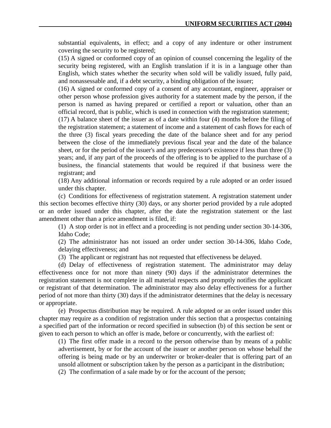substantial equivalents, in effect; and a copy of any indenture or other instrument covering the security to be registered;

(15) A signed or conformed copy of an opinion of counsel concerning the legality of the security being registered, with an English translation if it is in a language other than English, which states whether the security when sold will be validly issued, fully paid, and nonassessable and, if a debt security, a binding obligation of the issuer;

(16) A signed or conformed copy of a consent of any accountant, engineer, appraiser or other person whose profession gives authority for a statement made by the person, if the person is named as having prepared or certified a report or valuation, other than an official record, that is public, which is used in connection with the registration statement;

(17) A balance sheet of the issuer as of a date within four (4) months before the filing of the registration statement; a statement of income and a statement of cash flows for each of the three (3) fiscal years preceding the date of the balance sheet and for any period between the close of the immediately previous fiscal year and the date of the balance sheet, or for the period of the issuer's and any predecessor's existence if less than three (3) years; and, if any part of the proceeds of the offering is to be applied to the purchase of a business, the financial statements that would be required if that business were the registrant; and

(18) Any additional information or records required by a rule adopted or an order issued under this chapter.

(c) Conditions for effectiveness of registration statement. A registration statement under this section becomes effective thirty (30) days, or any shorter period provided by a rule adopted or an order issued under this chapter, after the date the registration statement or the last amendment other than a price amendment is filed, if:

(1) A stop order is not in effect and a proceeding is not pending under section 30-14-306, Idaho Code;

(2) The administrator has not issued an order under section 30-14-306, Idaho Code, delaying effectiveness; and

(3) The applicant or registrant has not requested that effectiveness be delayed.

(d) Delay of effectiveness of registration statement. The administrator may delay effectiveness once for not more than ninety (90) days if the administrator determines the registration statement is not complete in all material respects and promptly notifies the applicant or registrant of that determination. The administrator may also delay effectiveness for a further period of not more than thirty (30) days if the administrator determines that the delay is necessary or appropriate.

(e) Prospectus distribution may be required. A rule adopted or an order issued under this chapter may require as a condition of registration under this section that a prospectus containing a specified part of the information or record specified in subsection (b) of this section be sent or given to each person to which an offer is made, before or concurrently, with the earliest of:

(1) The first offer made in a record to the person otherwise than by means of a public advertisement, by or for the account of the issuer or another person on whose behalf the offering is being made or by an underwriter or broker-dealer that is offering part of an unsold allotment or subscription taken by the person as a participant in the distribution;

(2) The confirmation of a sale made by or for the account of the person;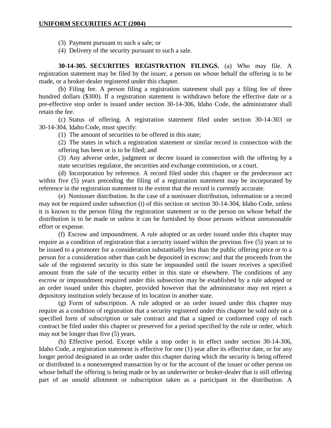- (3) Payment pursuant to such a sale; or
- (4) Delivery of the security pursuant to such a sale.

**30-14-305. SECURITIES REGISTRATION FILINGS.** (a) Who may file. A registration statement may be filed by the issuer, a person on whose behalf the offering is to be made, or a broker-dealer registered under this chapter.

(b) Filing fee. A person filing a registration statement shall pay a filing fee of three hundred dollars (\$300). If a registration statement is withdrawn before the effective date or a pre-effective stop order is issued under section 30-14-306, Idaho Code, the administrator shall retain the fee.

(c) Status of offering. A registration statement filed under section 30-14-303 or 30-14-304, Idaho Code, must specify:

(1) The amount of securities to be offered in this state;

(2) The states in which a registration statement or similar record in connection with the offering has been or is to be filed; and

(3) Any adverse order, judgment or decree issued in connection with the offering by a state securities regulator, the securities and exchange commission, or a court.

(d) Incorporation by reference. A record filed under this chapter or the predecessor act within five (5) years preceding the filing of a registration statement may be incorporated by reference in the registration statement to the extent that the record is currently accurate.

(e) Nonissuer distribution. In the case of a nonissuer distribution, information or a record may not be required under subsection (i) of this section or section 30-14-304, Idaho Code, unless it is known to the person filing the registration statement or to the person on whose behalf the distribution is to be made or unless it can be furnished by those persons without unreasonable effort or expense.

(f) Escrow and impoundment. A rule adopted or an order issued under this chapter may require as a condition of registration that a security issued within the previous five (5) years or to be issued to a promoter for a consideration substantially less than the public offering price or to a person for a consideration other than cash be deposited in escrow; and that the proceeds from the sale of the registered security in this state be impounded until the issuer receives a specified amount from the sale of the security either in this state or elsewhere. The conditions of any escrow or impoundment required under this subsection may be established by a rule adopted or an order issued under this chapter, provided however that the administrator may not reject a depository institution solely because of its location in another state.

(g) Form of subscription. A rule adopted or an order issued under this chapter may require as a condition of registration that a security registered under this chapter be sold only on a specified form of subscription or sale contract and that a signed or conformed copy of each contract be filed under this chapter or preserved for a period specified by the rule or order, which may not be longer than five (5) years.

(h) Effective period. Except while a stop order is in effect under section 30-14-306, Idaho Code, a registration statement is effective for one (1) year after its effective date, or for any longer period designated in an order under this chapter during which the security is being offered or distributed in a nonexempted transaction by or for the account of the issuer or other person on whose behalf the offering is being made or by an underwriter or broker-dealer that is still offering part of an unsold allotment or subscription taken as a participant in the distribution. A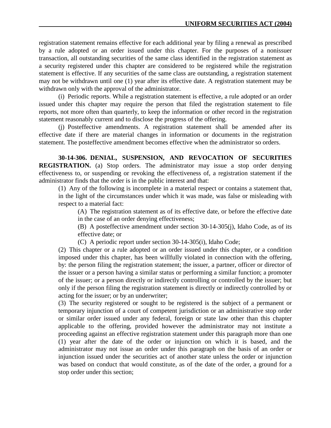registration statement remains effective for each additional year by filing a renewal as prescribed by a rule adopted or an order issued under this chapter. For the purposes of a nonissuer transaction, all outstanding securities of the same class identified in the registration statement as a security registered under this chapter are considered to be registered while the registration statement is effective. If any securities of the same class are outstanding, a registration statement may not be withdrawn until one (1) year after its effective date. A registration statement may be withdrawn only with the approval of the administrator.

(i) Periodic reports. While a registration statement is effective, a rule adopted or an order issued under this chapter may require the person that filed the registration statement to file reports, not more often than quarterly, to keep the information or other record in the registration statement reasonably current and to disclose the progress of the offering.

(j) Posteffective amendments. A registration statement shall be amended after its effective date if there are material changes in information or documents in the registration statement. The posteffective amendment becomes effective when the administrator so orders.

**30-14-306. DENIAL, SUSPENSION, AND REVOCATION OF SECURITIES REGISTRATION.** (a) Stop orders. The administrator may issue a stop order denying effectiveness to, or suspending or revoking the effectiveness of, a registration statement if the administrator finds that the order is in the public interest and that:

(1) Any of the following is incomplete in a material respect or contains a statement that, in the light of the circumstances under which it was made, was false or misleading with respect to a material fact:

(A) The registration statement as of its effective date, or before the effective date in the case of an order denying effectiveness;

(B) A posteffective amendment under section 30-14-305(j), Idaho Code, as of its effective date; or

(C) A periodic report under section 30-14-305(i), Idaho Code;

(2) This chapter or a rule adopted or an order issued under this chapter, or a condition imposed under this chapter, has been willfully violated in connection with the offering, by: the person filing the registration statement; the issuer, a partner, officer or director of the issuer or a person having a similar status or performing a similar function; a promoter of the issuer; or a person directly or indirectly controlling or controlled by the issuer; but only if the person filing the registration statement is directly or indirectly controlled by or acting for the issuer; or by an underwriter;

(3) The security registered or sought to be registered is the subject of a permanent or temporary injunction of a court of competent jurisdiction or an administrative stop order or similar order issued under any federal, foreign or state law other than this chapter applicable to the offering, provided however the administrator may not institute a proceeding against an effective registration statement under this paragraph more than one (1) year after the date of the order or injunction on which it is based, and the administrator may not issue an order under this paragraph on the basis of an order or injunction issued under the securities act of another state unless the order or injunction was based on conduct that would constitute, as of the date of the order, a ground for a stop order under this section;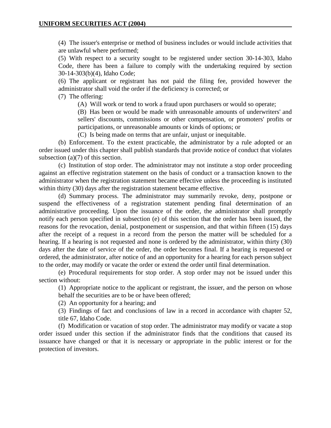(4) The issuer's enterprise or method of business includes or would include activities that are unlawful where performed;

(5) With respect to a security sought to be registered under section 30-14-303, Idaho Code, there has been a failure to comply with the undertaking required by section 30-14-303(b)(4), Idaho Code;

(6) The applicant or registrant has not paid the filing fee, provided however the administrator shall void the order if the deficiency is corrected; or

(7) The offering:

(A) Will work or tend to work a fraud upon purchasers or would so operate;

(B) Has been or would be made with unreasonable amounts of underwriters' and sellers' discounts, commissions or other compensation, or promoters' profits or participations, or unreasonable amounts or kinds of options; or

(C) Is being made on terms that are unfair, unjust or inequitable.

(b) Enforcement. To the extent practicable, the administrator by a rule adopted or an order issued under this chapter shall publish standards that provide notice of conduct that violates subsection (a)(7) of this section.

(c) Institution of stop order. The administrator may not institute a stop order proceeding against an effective registration statement on the basis of conduct or a transaction known to the administrator when the registration statement became effective unless the proceeding is instituted within thirty (30) days after the registration statement became effective.

(d) Summary process. The administrator may summarily revoke, deny, postpone or suspend the effectiveness of a registration statement pending final determination of an administrative proceeding. Upon the issuance of the order, the administrator shall promptly notify each person specified in subsection (e) of this section that the order has been issued, the reasons for the revocation, denial, postponement or suspension, and that within fifteen (15) days after the receipt of a request in a record from the person the matter will be scheduled for a hearing. If a hearing is not requested and none is ordered by the administrator, within thirty (30) days after the date of service of the order, the order becomes final. If a hearing is requested or ordered, the administrator, after notice of and an opportunity for a hearing for each person subject to the order, may modify or vacate the order or extend the order until final determination.

(e) Procedural requirements for stop order. A stop order may not be issued under this section without:

(1) Appropriate notice to the applicant or registrant, the issuer, and the person on whose behalf the securities are to be or have been offered;

(2) An opportunity for a hearing; and

(3) Findings of fact and conclusions of law in a record in accordance with chapter 52, title 67, Idaho Code.

(f) Modification or vacation of stop order. The administrator may modify or vacate a stop order issued under this section if the administrator finds that the conditions that caused its issuance have changed or that it is necessary or appropriate in the public interest or for the protection of investors.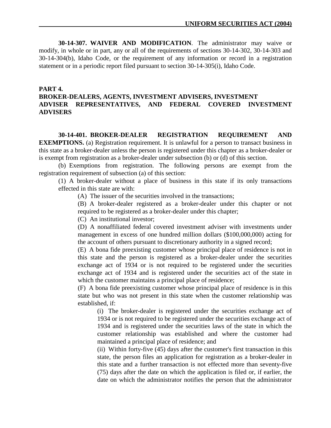**30-14-307. WAIVER AND MODIFICATION**. The administrator may waive or modify, in whole or in part, any or all of the requirements of sections 30-14-302, 30-14-303 and 30-14-304(b), Idaho Code, or the requirement of any information or record in a registration statement or in a periodic report filed pursuant to section 30-14-305(i), Idaho Code.

#### **PART 4.**

## **BROKER-DEALERS, AGENTS, INVESTMENT ADVISERS, INVESTMENT ADVISER REPRESENTATIVES, AND FEDERAL COVERED INVESTMENT ADVISERS**

#### **30-14-401. BROKER-DEALER REGISTRATION REQUIREMENT AND EXEMPTIONS.** (a) Registration requirement. It is unlawful for a person to transact business in this state as a broker-dealer unless the person is registered under this chapter as a broker-dealer or

is exempt from registration as a broker-dealer under subsection (b) or (d) of this section.

(b) Exemptions from registration. The following persons are exempt from the registration requirement of subsection (a) of this section:

(1) A broker-dealer without a place of business in this state if its only transactions effected in this state are with:

(A) The issuer of the securities involved in the transactions;

(B) A broker-dealer registered as a broker-dealer under this chapter or not required to be registered as a broker-dealer under this chapter;

(C) An institutional investor;

(D) A nonaffiliated federal covered investment adviser with investments under management in excess of one hundred million dollars (\$100,000,000) acting for the account of others pursuant to discretionary authority in a signed record;

(E) A bona fide preexisting customer whose principal place of residence is not in this state and the person is registered as a broker-dealer under the securities exchange act of 1934 or is not required to be registered under the securities exchange act of 1934 and is registered under the securities act of the state in which the customer maintains a principal place of residence;

(F) A bona fide preexisting customer whose principal place of residence is in this state but who was not present in this state when the customer relationship was established, if:

(i) The broker-dealer is registered under the securities exchange act of 1934 or is not required to be registered under the securities exchange act of 1934 and is registered under the securities laws of the state in which the customer relationship was established and where the customer had maintained a principal place of residence; and

(ii) Within forty-five (45) days after the customer's first transaction in this state, the person files an application for registration as a broker-dealer in this state and a further transaction is not effected more than seventy-five (75) days after the date on which the application is filed or, if earlier, the date on which the administrator notifies the person that the administrator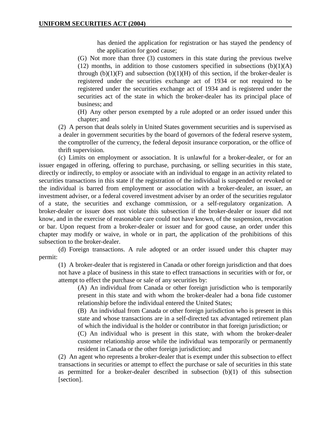has denied the application for registration or has stayed the pendency of the application for good cause;

(G) Not more than three (3) customers in this state during the previous twelve (12) months, in addition to those customers specified in subsections  $(b)(1)(A)$ through (b)(1)(F) and subsection (b)(1)(H) of this section, if the broker-dealer is registered under the securities exchange act of 1934 or not required to be registered under the securities exchange act of 1934 and is registered under the securities act of the state in which the broker-dealer has its principal place of business; and

(H) Any other person exempted by a rule adopted or an order issued under this chapter; and

(2) A person that deals solely in United States government securities and is supervised as a dealer in government securities by the board of governors of the federal reserve system, the comptroller of the currency, the federal deposit insurance corporation, or the office of thrift supervision.

(c) Limits on employment or association. It is unlawful for a broker-dealer, or for an issuer engaged in offering, offering to purchase, purchasing, or selling securities in this state, directly or indirectly, to employ or associate with an individual to engage in an activity related to securities transactions in this state if the registration of the individual is suspended or revoked or the individual is barred from employment or association with a broker-dealer, an issuer, an investment adviser, or a federal covered investment adviser by an order of the securities regulator of a state, the securities and exchange commission, or a self-regulatory organization. A broker-dealer or issuer does not violate this subsection if the broker-dealer or issuer did not know, and in the exercise of reasonable care could not have known, of the suspension, revocation or bar. Upon request from a broker-dealer or issuer and for good cause, an order under this chapter may modify or waive, in whole or in part, the application of the prohibitions of this subsection to the broker-dealer.

(d) Foreign transactions. A rule adopted or an order issued under this chapter may permit:

(1) A broker-dealer that is registered in Canada or other foreign jurisdiction and that does not have a place of business in this state to effect transactions in securities with or for, or attempt to effect the purchase or sale of any securities by:

(A) An individual from Canada or other foreign jurisdiction who is temporarily present in this state and with whom the broker-dealer had a bona fide customer relationship before the individual entered the United States;

(B) An individual from Canada or other foreign jurisdiction who is present in this state and whose transactions are in a self-directed tax advantaged retirement plan of which the individual is the holder or contributor in that foreign jurisdiction; or

(C) An individual who is present in this state, with whom the broker-dealer customer relationship arose while the individual was temporarily or permanently resident in Canada or the other foreign jurisdiction; and

(2) An agent who represents a broker-dealer that is exempt under this subsection to effect transactions in securities or attempt to effect the purchase or sale of securities in this state as permitted for a broker-dealer described in subsection  $(b)(1)$  of this subsection [section].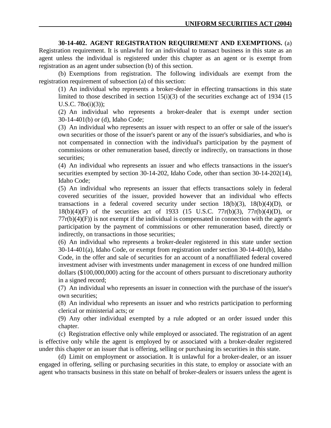**30-14-402. AGENT REGISTRATION REQUIREMENT AND EXEMPTIONS.** (a) Registration requirement. It is unlawful for an individual to transact business in this state as an agent unless the individual is registered under this chapter as an agent or is exempt from registration as an agent under subsection (b) of this section.

(b) Exemptions from registration. The following individuals are exempt from the registration requirement of subsection (a) of this section:

(1) An individual who represents a broker-dealer in effecting transactions in this state limited to those described in section  $15(i)(3)$  of the securities exchange act of 1934 (15 U.S.C. 78o(i)(3));

(2) An individual who represents a broker-dealer that is exempt under section 30-14-401(b) or (d), Idaho Code;

(3) An individual who represents an issuer with respect to an offer or sale of the issuer's own securities or those of the issuer's parent or any of the issuer's subsidiaries, and who is not compensated in connection with the individual's participation by the payment of commissions or other remuneration based, directly or indirectly, on transactions in those securities;

(4) An individual who represents an issuer and who effects transactions in the issuer's securities exempted by section 30-14-202, Idaho Code, other than section 30-14-202(14), Idaho Code;

(5) An individual who represents an issuer that effects transactions solely in federal covered securities of the issuer, provided however that an individual who effects transactions in a federal covered security under section  $18(b)(3)$ ,  $18(b)(4)(D)$ , or 18(b)(4)(F) of the securities act of 1933 (15 U.S.C. 77 $r(b)(3)$ , 77 $r(b)(4)(D)$ , or  $77r(b)(4)(F)$ ) is not exempt if the individual is compensated in connection with the agent's participation by the payment of commissions or other remuneration based, directly or indirectly, on transactions in those securities;

(6) An individual who represents a broker-dealer registered in this state under section 30-14-401(a), Idaho Code, or exempt from registration under section 30-14-401(b), Idaho Code, in the offer and sale of securities for an account of a nonaffiliated federal covered investment adviser with investments under management in excess of one hundred million dollars (\$100,000,000) acting for the account of others pursuant to discretionary authority in a signed record;

(7) An individual who represents an issuer in connection with the purchase of the issuer's own securities;

(8) An individual who represents an issuer and who restricts participation to performing clerical or ministerial acts; or

(9) Any other individual exempted by a rule adopted or an order issued under this chapter.

(c) Registration effective only while employed or associated. The registration of an agent is effective only while the agent is employed by or associated with a broker-dealer registered under this chapter or an issuer that is offering, selling or purchasing its securities in this state.

(d) Limit on employment or association. It is unlawful for a broker-dealer, or an issuer engaged in offering, selling or purchasing securities in this state, to employ or associate with an agent who transacts business in this state on behalf of broker-dealers or issuers unless the agent is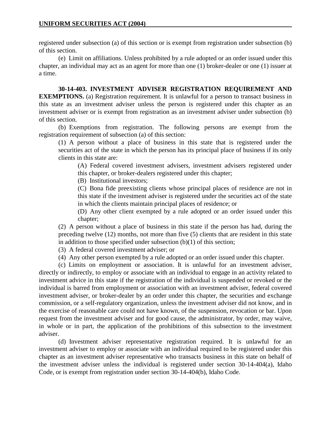registered under subsection (a) of this section or is exempt from registration under subsection (b) of this section.

(e) Limit on affiliations. Unless prohibited by a rule adopted or an order issued under this chapter, an individual may act as an agent for more than one (1) broker-dealer or one (1) issuer at a time.

**30-14-403. INVESTMENT ADVISER REGISTRATION REQUIREMENT AND EXEMPTIONS.** (a) Registration requirement. It is unlawful for a person to transact business in this state as an investment adviser unless the person is registered under this chapter as an investment adviser or is exempt from registration as an investment adviser under subsection (b) of this section.

(b) Exemptions from registration. The following persons are exempt from the registration requirement of subsection (a) of this section:

(1) A person without a place of business in this state that is registered under the securities act of the state in which the person has its principal place of business if its only clients in this state are:

(A) Federal covered investment advisers, investment advisers registered under this chapter, or broker-dealers registered under this chapter;

(B) Institutional investors;

(C) Bona fide preexisting clients whose principal places of residence are not in this state if the investment adviser is registered under the securities act of the state in which the clients maintain principal places of residence; or

(D) Any other client exempted by a rule adopted or an order issued under this chapter;

(2) A person without a place of business in this state if the person has had, during the preceding twelve (12) months, not more than five (5) clients that are resident in this state in addition to those specified under subsection (b)(1) of this section;

(3) A federal covered investment adviser; or

(4) Any other person exempted by a rule adopted or an order issued under this chapter.

(c) Limits on employment or association. It is unlawful for an investment adviser, directly or indirectly, to employ or associate with an individual to engage in an activity related to investment advice in this state if the registration of the individual is suspended or revoked or the individual is barred from employment or association with an investment adviser, federal covered investment adviser, or broker-dealer by an order under this chapter, the securities and exchange commission, or a self-regulatory organization, unless the investment adviser did not know, and in the exercise of reasonable care could not have known, of the suspension, revocation or bar. Upon request from the investment adviser and for good cause, the administrator, by order, may waive, in whole or in part, the application of the prohibitions of this subsection to the investment adviser.

(d) Investment adviser representative registration required. It is unlawful for an investment adviser to employ or associate with an individual required to be registered under this chapter as an investment adviser representative who transacts business in this state on behalf of the investment adviser unless the individual is registered under section 30-14-404(a), Idaho Code, or is exempt from registration under section 30-14-404(b), Idaho Code.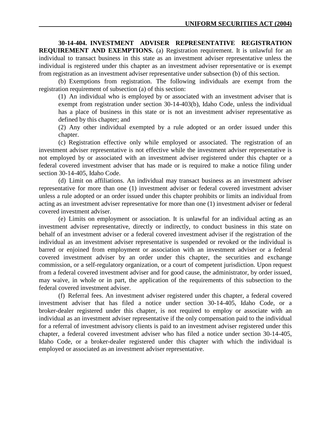**30-14-404. INVESTMENT ADVISER REPRESENTATIVE REGISTRATION REQUIREMENT AND EXEMPTIONS.** (a) Registration requirement. It is unlawful for an individual to transact business in this state as an investment adviser representative unless the individual is registered under this chapter as an investment adviser representative or is exempt from registration as an investment adviser representative under subsection (b) of this section.

(b) Exemptions from registration. The following individuals are exempt from the registration requirement of subsection (a) of this section:

(1) An individual who is employed by or associated with an investment adviser that is exempt from registration under section 30-14-403(b), Idaho Code, unless the individual has a place of business in this state or is not an investment adviser representative as defined by this chapter; and

(2) Any other individual exempted by a rule adopted or an order issued under this chapter.

(c) Registration effective only while employed or associated. The registration of an investment adviser representative is not effective while the investment adviser representative is not employed by or associated with an investment adviser registered under this chapter or a federal covered investment adviser that has made or is required to make a notice filing under section 30-14-405, Idaho Code.

(d) Limit on affiliations. An individual may transact business as an investment adviser representative for more than one (1) investment adviser or federal covered investment adviser unless a rule adopted or an order issued under this chapter prohibits or limits an individual from acting as an investment adviser representative for more than one (1) investment adviser or federal covered investment adviser.

(e) Limits on employment or association. It is unlawful for an individual acting as an investment adviser representative, directly or indirectly, to conduct business in this state on behalf of an investment adviser or a federal covered investment adviser if the registration of the individual as an investment adviser representative is suspended or revoked or the individual is barred or enjoined from employment or association with an investment adviser or a federal covered investment adviser by an order under this chapter, the securities and exchange commission, or a self-regulatory organization, or a court of competent jurisdiction. Upon request from a federal covered investment adviser and for good cause, the administrator, by order issued, may waive, in whole or in part, the application of the requirements of this subsection to the federal covered investment adviser.

(f) Referral fees. An investment adviser registered under this chapter, a federal covered investment adviser that has filed a notice under section 30-14-405, Idaho Code, or a broker-dealer registered under this chapter, is not required to employ or associate with an individual as an investment adviser representative if the only compensation paid to the individual for a referral of investment advisory clients is paid to an investment adviser registered under this chapter, a federal covered investment adviser who has filed a notice under section 30-14-405, Idaho Code, or a broker-dealer registered under this chapter with which the individual is employed or associated as an investment adviser representative.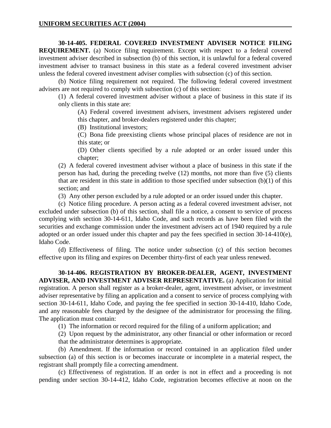**30-14-405. FEDERAL COVERED INVESTMENT ADVISER NOTICE FILING REQUIREMENT.** (a) Notice filing requirement. Except with respect to a federal covered investment adviser described in subsection (b) of this section, it is unlawful for a federal covered investment adviser to transact business in this state as a federal covered investment adviser unless the federal covered investment adviser complies with subsection (c) of this section.

(b) Notice filing requirement not required. The following federal covered investment advisers are not required to comply with subsection (c) of this section:

(1) A federal covered investment adviser without a place of business in this state if its only clients in this state are:

(A) Federal covered investment advisers, investment advisers registered under this chapter, and broker-dealers registered under this chapter;

(B) Institutional investors;

(C) Bona fide preexisting clients whose principal places of residence are not in this state; or

(D) Other clients specified by a rule adopted or an order issued under this chapter;

(2) A federal covered investment adviser without a place of business in this state if the person has had, during the preceding twelve (12) months, not more than five (5) clients that are resident in this state in addition to those specified under subsection  $(b)(1)$  of this section; and

(3) Any other person excluded by a rule adopted or an order issued under this chapter.

(c) Notice filing procedure. A person acting as a federal covered investment adviser, not excluded under subsection (b) of this section, shall file a notice, a consent to service of process complying with section 30-14-611, Idaho Code, and such records as have been filed with the securities and exchange commission under the investment advisers act of 1940 required by a rule adopted or an order issued under this chapter and pay the fees specified in section 30-14-410(e), Idaho Code.

(d) Effectiveness of filing. The notice under subsection (c) of this section becomes effective upon its filing and expires on December thirty-first of each year unless renewed.

**30-14-406. REGISTRATION BY BROKER-DEALER, AGENT, INVESTMENT ADVISER, AND INVESTMENT ADVISER REPRESENTATIVE.** (a) Application for initial registration. A person shall register as a broker-dealer, agent, investment adviser, or investment adviser representative by filing an application and a consent to service of process complying with section 30-14-611, Idaho Code, and paying the fee specified in section 30-14-410, Idaho Code, and any reasonable fees charged by the designee of the administrator for processing the filing. The application must contain:

(1) The information or record required for the filing of a uniform application; and

(2) Upon request by the administrator, any other financial or other information or record that the administrator determines is appropriate.

(b) Amendment. If the information or record contained in an application filed under subsection (a) of this section is or becomes inaccurate or incomplete in a material respect, the registrant shall promptly file a correcting amendment.

(c) Effectiveness of registration. If an order is not in effect and a proceeding is not pending under section 30-14-412, Idaho Code, registration becomes effective at noon on the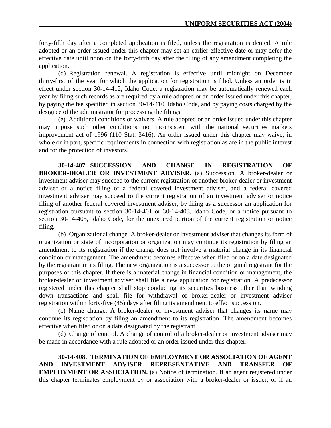forty-fifth day after a completed application is filed, unless the registration is denied. A rule adopted or an order issued under this chapter may set an earlier effective date or may defer the effective date until noon on the forty-fifth day after the filing of any amendment completing the application.

(d) Registration renewal. A registration is effective until midnight on December thirty-first of the year for which the application for registration is filed. Unless an order is in effect under section 30-14-412, Idaho Code, a registration may be automatically renewed each year by filing such records as are required by a rule adopted or an order issued under this chapter, by paying the fee specified in section 30-14-410, Idaho Code, and by paying costs charged by the designee of the administrator for processing the filings.

(e) Additional conditions or waivers. A rule adopted or an order issued under this chapter may impose such other conditions, not inconsistent with the national securities markets improvement act of 1996 (110 Stat. 3416). An order issued under this chapter may waive, in whole or in part, specific requirements in connection with registration as are in the public interest and for the protection of investors.

**30-14-407. SUCCESSION AND CHANGE IN REGISTRATION OF BROKER-DEALER OR INVESTMENT ADVISER.** (a) Succession. A broker-dealer or investment adviser may succeed to the current registration of another broker-dealer or investment adviser or a notice filing of a federal covered investment adviser, and a federal covered investment adviser may succeed to the current registration of an investment adviser or notice filing of another federal covered investment adviser, by filing as a successor an application for registration pursuant to section 30-14-401 or 30-14-403, Idaho Code, or a notice pursuant to section 30-14-405, Idaho Code, for the unexpired portion of the current registration or notice filing.

(b) Organizational change. A broker-dealer or investment adviser that changes its form of organization or state of incorporation or organization may continue its registration by filing an amendment to its registration if the change does not involve a material change in its financial condition or management. The amendment becomes effective when filed or on a date designated by the registrant in its filing. The new organization is a successor to the original registrant for the purposes of this chapter. If there is a material change in financial condition or management, the broker-dealer or investment adviser shall file a new application for registration. A predecessor registered under this chapter shall stop conducting its securities business other than winding down transactions and shall file for withdrawal of broker-dealer or investment adviser registration within forty-five (45) days after filing its amendment to effect succession.

(c) Name change. A broker-dealer or investment adviser that changes its name may continue its registration by filing an amendment to its registration. The amendment becomes effective when filed or on a date designated by the registrant.

(d) Change of control. A change of control of a broker-dealer or investment adviser may be made in accordance with a rule adopted or an order issued under this chapter.

**30-14-408. TERMINATION OF EMPLOYMENT OR ASSOCIATION OF AGENT AND INVESTMENT ADVISER REPRESENTATIVE AND TRANSFER OF EMPLOYMENT OR ASSOCIATION.** (a) Notice of termination. If an agent registered under this chapter terminates employment by or association with a broker-dealer or issuer, or if an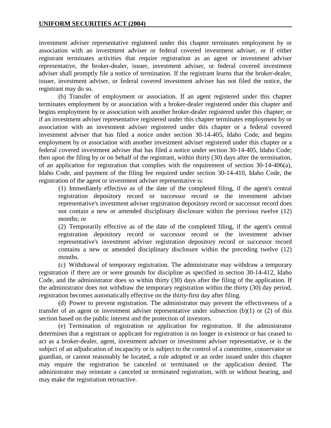investment adviser representative registered under this chapter terminates employment by or association with an investment adviser or federal covered investment adviser, or if either registrant terminates activities that require registration as an agent or investment adviser representative, the broker-dealer, issuer, investment adviser, or federal covered investment adviser shall promptly file a notice of termination. If the registrant learns that the broker-dealer, issuer, investment adviser, or federal covered investment adviser has not filed the notice, the registrant may do so.

(b) Transfer of employment or association. If an agent registered under this chapter terminates employment by or association with a broker-dealer registered under this chapter and begins employment by or association with another broker-dealer registered under this chapter; or if an investment adviser representative registered under this chapter terminates employment by or association with an investment adviser registered under this chapter or a federal covered investment adviser that has filed a notice under section 30-14-405, Idaho Code, and begins employment by or association with another investment adviser registered under this chapter or a federal covered investment adviser that has filed a notice under section 30-14-405, Idaho Code; then upon the filing by or on behalf of the registrant, within thirty (30) days after the termination, of an application for registration that complies with the requirement of section 30-14-406(a), Idaho Code, and payment of the filing fee required under section 30-14-410, Idaho Code, the registration of the agent or investment adviser representative is:

(1) Immediately effective as of the date of the completed filing, if the agent's central registration depository record or successor record or the investment adviser representative's investment adviser registration depository record or successor record does not contain a new or amended disciplinary disclosure within the previous twelve (12) months; or

(2) Temporarily effective as of the date of the completed filing, if the agent's central registration depository record or successor record or the investment adviser representative's investment adviser registration depository record or successor record contains a new or amended disciplinary disclosure within the preceding twelve (12) months.

(c) Withdrawal of temporary registration. The administrator may withdraw a temporary registration if there are or were grounds for discipline as specified in section 30-14-412, Idaho Code, and the administrator does so within thirty (30) days after the filing of the application. If the administrator does not withdraw the temporary registration within the thirty (30) day period, registration becomes automatically effective on the thirty-first day after filing.

(d) Power to prevent registration. The administrator may prevent the effectiveness of a transfer of an agent or investment adviser representative under subsection (b)(1) or (2) of this section based on the public interest and the protection of investors.

(e) Termination of registration or application for registration. If the administrator determines that a registrant or applicant for registration is no longer in existence or has ceased to act as a broker-dealer, agent, investment adviser or investment adviser representative, or is the subject of an adjudication of incapacity or is subject to the control of a committee, conservator or guardian, or cannot reasonably be located, a rule adopted or an order issued under this chapter may require the registration be canceled or terminated or the application denied. The administrator may reinstate a canceled or terminated registration, with or without hearing, and may make the registration retroactive.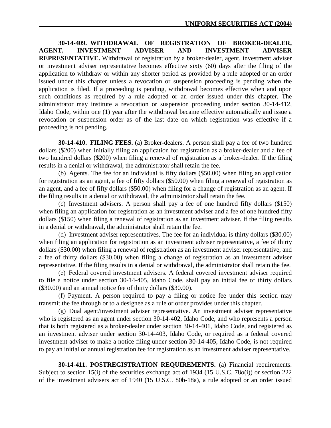**30-14-409. WITHDRAWAL OF REGISTRATION OF BROKER-DEALER, AGENT, INVESTMENT ADVISER AND INVESTMENT ADVISER REPRESENTATIVE.** Withdrawal of registration by a broker-dealer, agent, investment adviser or investment adviser representative becomes effective sixty (60) days after the filing of the application to withdraw or within any shorter period as provided by a rule adopted or an order issued under this chapter unless a revocation or suspension proceeding is pending when the application is filed. If a proceeding is pending, withdrawal becomes effective when and upon such conditions as required by a rule adopted or an order issued under this chapter. The administrator may institute a revocation or suspension proceeding under section 30-14-412, Idaho Code, within one (1) year after the withdrawal became effective automatically and issue a revocation or suspension order as of the last date on which registration was effective if a proceeding is not pending.

**30-14-410. FILING FEES.** (a) Broker-dealers. A person shall pay a fee of two hundred dollars (\$200) when initially filing an application for registration as a broker-dealer and a fee of two hundred dollars (\$200) when filing a renewal of registration as a broker-dealer. If the filing results in a denial or withdrawal, the administrator shall retain the fee.

(b) Agents. The fee for an individual is fifty dollars (\$50.00) when filing an application for registration as an agent, a fee of fifty dollars (\$50.00) when filing a renewal of registration as an agent, and a fee of fifty dollars (\$50.00) when filing for a change of registration as an agent. If the filing results in a denial or withdrawal, the administrator shall retain the fee.

(c) Investment advisers. A person shall pay a fee of one hundred fifty dollars (\$150) when filing an application for registration as an investment adviser and a fee of one hundred fifty dollars (\$150) when filing a renewal of registration as an investment adviser. If the filing results in a denial or withdrawal, the administrator shall retain the fee.

(d) Investment adviser representatives. The fee for an individual is thirty dollars (\$30.00) when filing an application for registration as an investment adviser representative, a fee of thirty dollars (\$30.00) when filing a renewal of registration as an investment adviser representative, and a fee of thirty dollars (\$30.00) when filing a change of registration as an investment adviser representative. If the filing results in a denial or withdrawal, the administrator shall retain the fee.

(e) Federal covered investment advisers. A federal covered investment adviser required to file a notice under section 30-14-405, Idaho Code, shall pay an initial fee of thirty dollars (\$30.00) and an annual notice fee of thirty dollars (\$30.00).

(f) Payment. A person required to pay a filing or notice fee under this section may transmit the fee through or to a designee as a rule or order provides under this chapter.

(g) Dual agent/investment adviser representative. An investment adviser representative who is registered as an agent under section 30-14-402, Idaho Code, and who represents a person that is both registered as a broker-dealer under section 30-14-401, Idaho Code, and registered as an investment adviser under section 30-14-403, Idaho Code, or required as a federal covered investment adviser to make a notice filing under section 30-14-405, Idaho Code, is not required to pay an initial or annual registration fee for registration as an investment adviser representative.

**30-14-411. POSTREGISTRATION REQUIREMENTS.** (a) Financial requirements. Subject to section 15(i) of the securities exchange act of 1934 (15 U.S.C. 780(i)) or section 222 of the investment advisers act of 1940 (15 U.S.C. 80b-18a), a rule adopted or an order issued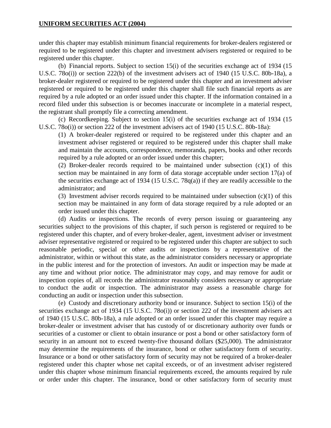under this chapter may establish minimum financial requirements for broker-dealers registered or required to be registered under this chapter and investment advisers registered or required to be registered under this chapter.

(b) Financial reports. Subject to section 15(i) of the securities exchange act of 1934 (15 U.S.C. 78o(i)) or section 222(b) of the investment advisers act of 1940 (15 U.S.C. 80b-18a), a broker-dealer registered or required to be registered under this chapter and an investment adviser registered or required to be registered under this chapter shall file such financial reports as are required by a rule adopted or an order issued under this chapter. If the information contained in a record filed under this subsection is or becomes inaccurate or incomplete in a material respect, the registrant shall promptly file a correcting amendment.

(c) Recordkeeping. Subject to section 15(i) of the securities exchange act of 1934 (15 U.S.C. 78o(i)) or section 222 of the investment advisers act of 1940 (15 U.S.C. 80b-18a):

(1) A broker-dealer registered or required to be registered under this chapter and an investment adviser registered or required to be registered under this chapter shall make and maintain the accounts, correspondence, memoranda, papers, books and other records required by a rule adopted or an order issued under this chapter;

(2) Broker-dealer records required to be maintained under subsection (c)(1) of this section may be maintained in any form of data storage acceptable under section 17(a) of the securities exchange act of 1934 (15 U.S.C. 78q(a)) if they are readily accessible to the administrator; and

(3) Investment adviser records required to be maintained under subsection  $(c)(1)$  of this section may be maintained in any form of data storage required by a rule adopted or an order issued under this chapter.

(d) Audits or inspections. The records of every person issuing or guaranteeing any securities subject to the provisions of this chapter, if such person is registered or required to be registered under this chapter, and of every broker-dealer, agent, investment adviser or investment adviser representative registered or required to be registered under this chapter are subject to such reasonable periodic, special or other audits or inspections by a representative of the administrator, within or without this state, as the administrator considers necessary or appropriate in the public interest and for the protection of investors. An audit or inspection may be made at any time and without prior notice. The administrator may copy, and may remove for audit or inspection copies of, all records the administrator reasonably considers necessary or appropriate to conduct the audit or inspection. The administrator may assess a reasonable charge for conducting an audit or inspection under this subsection.

(e) Custody and discretionary authority bond or insurance. Subject to section 15(i) of the securities exchange act of 1934 (15 U.S.C. 78o(i)) or section 222 of the investment advisers act of 1940 (15 U.S.C. 80b-18a), a rule adopted or an order issued under this chapter may require a broker-dealer or investment adviser that has custody of or discretionary authority over funds or securities of a customer or client to obtain insurance or post a bond or other satisfactory form of security in an amount not to exceed twenty-five thousand dollars (\$25,000). The administrator may determine the requirements of the insurance, bond or other satisfactory form of security. Insurance or a bond or other satisfactory form of security may not be required of a broker-dealer registered under this chapter whose net capital exceeds, or of an investment adviser registered under this chapter whose minimum financial requirements exceed, the amounts required by rule or order under this chapter. The insurance, bond or other satisfactory form of security must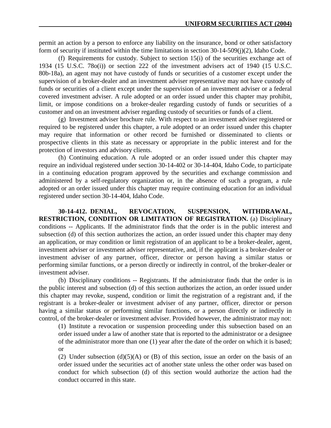permit an action by a person to enforce any liability on the insurance, bond or other satisfactory form of security if instituted within the time limitations in section 30-14-509(j)(2), Idaho Code.

(f) Requirements for custody. Subject to section 15(i) of the securities exchange act of 1934 (15 U.S.C. 78o(i)) or section 222 of the investment advisers act of 1940 (15 U.S.C. 80b-18a), an agent may not have custody of funds or securities of a customer except under the supervision of a broker-dealer and an investment adviser representative may not have custody of funds or securities of a client except under the supervision of an investment adviser or a federal covered investment adviser. A rule adopted or an order issued under this chapter may prohibit, limit, or impose conditions on a broker-dealer regarding custody of funds or securities of a customer and on an investment adviser regarding custody of securities or funds of a client.

(g) Investment adviser brochure rule. With respect to an investment adviser registered or required to be registered under this chapter, a rule adopted or an order issued under this chapter may require that information or other record be furnished or disseminated to clients or prospective clients in this state as necessary or appropriate in the public interest and for the protection of investors and advisory clients.

(h) Continuing education. A rule adopted or an order issued under this chapter may require an individual registered under section 30-14-402 or 30-14-404, Idaho Code, to participate in a continuing education program approved by the securities and exchange commission and administered by a self-regulatory organization or, in the absence of such a program, a rule adopted or an order issued under this chapter may require continuing education for an individual registered under section 30-14-404, Idaho Code.

**30-14-412. DENIAL, REVOCATION, SUSPENSION, WITHDRAWAL, RESTRICTION, CONDITION OR LIMITATION OF REGISTRATION.** (a) Disciplinary conditions -- Applicants. If the administrator finds that the order is in the public interest and subsection (d) of this section authorizes the action, an order issued under this chapter may deny an application, or may condition or limit registration of an applicant to be a broker-dealer, agent, investment adviser or investment adviser representative, and, if the applicant is a broker-dealer or investment adviser of any partner, officer, director or person having a similar status or performing similar functions, or a person directly or indirectly in control, of the broker-dealer or investment adviser.

(b) Disciplinary conditions -- Registrants. If the administrator finds that the order is in the public interest and subsection (d) of this section authorizes the action, an order issued under this chapter may revoke, suspend, condition or limit the registration of a registrant and, if the registrant is a broker-dealer or investment adviser of any partner, officer, director or person having a similar status or performing similar functions, or a person directly or indirectly in control, of the broker-dealer or investment adviser. Provided however, the administrator may not:

(1) Institute a revocation or suspension proceeding under this subsection based on an order issued under a law of another state that is reported to the administrator or a designee of the administrator more than one (1) year after the date of the order on which it is based; or

(2) Under subsection  $(d)(5)(A)$  or  $(B)$  of this section, issue an order on the basis of an order issued under the securities act of another state unless the other order was based on conduct for which subsection (d) of this section would authorize the action had the conduct occurred in this state.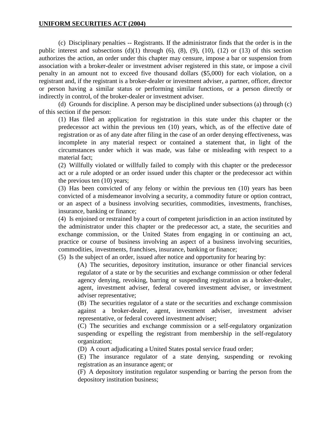(c) Disciplinary penalties -- Registrants. If the administrator finds that the order is in the public interest and subsections  $(d)(1)$  through  $(6)$ ,  $(8)$ ,  $(9)$ ,  $(10)$ ,  $(12)$  or  $(13)$  of this section authorizes the action, an order under this chapter may censure, impose a bar or suspension from association with a broker-dealer or investment adviser registered in this state, or impose a civil penalty in an amount not to exceed five thousand dollars (\$5,000) for each violation, on a registrant and, if the registrant is a broker-dealer or investment adviser, a partner, officer, director or person having a similar status or performing similar functions, or a person directly or indirectly in control, of the broker-dealer or investment adviser.

(d) Grounds for discipline. A person may be disciplined under subsections (a) through (c) of this section if the person:

(1) Has filed an application for registration in this state under this chapter or the predecessor act within the previous ten (10) years, which, as of the effective date of registration or as of any date after filing in the case of an order denying effectiveness, was incomplete in any material respect or contained a statement that, in light of the circumstances under which it was made, was false or misleading with respect to a material fact;

(2) Willfully violated or willfully failed to comply with this chapter or the predecessor act or a rule adopted or an order issued under this chapter or the predecessor act within the previous ten (10) years;

(3) Has been convicted of any felony or within the previous ten (10) years has been convicted of a misdemeanor involving a security, a commodity future or option contract, or an aspect of a business involving securities, commodities, investments, franchises, insurance, banking or finance;

(4) Is enjoined or restrained by a court of competent jurisdiction in an action instituted by the administrator under this chapter or the predecessor act, a state, the securities and exchange commission, or the United States from engaging in or continuing an act, practice or course of business involving an aspect of a business involving securities, commodities, investments, franchises, insurance, banking or finance;

(5) Is the subject of an order, issued after notice and opportunity for hearing by:

(A) The securities, depository institution, insurance or other financial services regulator of a state or by the securities and exchange commission or other federal agency denying, revoking, barring or suspending registration as a broker-dealer, agent, investment adviser, federal covered investment adviser, or investment adviser representative;

(B) The securities regulator of a state or the securities and exchange commission against a broker-dealer, agent, investment adviser, investment adviser representative, or federal covered investment adviser;

(C) The securities and exchange commission or a self-regulatory organization suspending or expelling the registrant from membership in the self-regulatory organization;

(D) A court adjudicating a United States postal service fraud order;

(E) The insurance regulator of a state denying, suspending or revoking registration as an insurance agent; or

(F) A depository institution regulator suspending or barring the person from the depository institution business;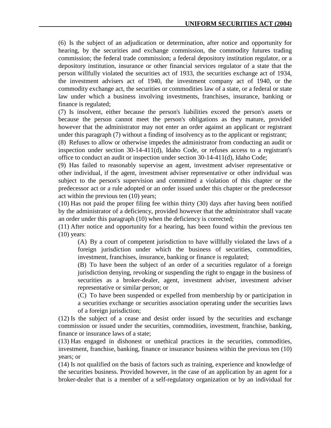(6) Is the subject of an adjudication or determination, after notice and opportunity for hearing, by the securities and exchange commission, the commodity futures trading commission; the federal trade commission; a federal depository institution regulator, or a depository institution, insurance or other financial services regulator of a state that the person willfully violated the securities act of 1933, the securities exchange act of 1934, the investment advisers act of 1940, the investment company act of 1940, or the commodity exchange act, the securities or commodities law of a state, or a federal or state law under which a business involving investments, franchises, insurance, banking or finance is regulated;

(7) Is insolvent, either because the person's liabilities exceed the person's assets or because the person cannot meet the person's obligations as they mature, provided however that the administrator may not enter an order against an applicant or registrant under this paragraph (7) without a finding of insolvency as to the applicant or registrant;

(8) Refuses to allow or otherwise impedes the administrator from conducting an audit or inspection under section 30-14-411(d), Idaho Code, or refuses access to a registrant's office to conduct an audit or inspection under section 30-14-411(d), Idaho Code;

(9) Has failed to reasonably supervise an agent, investment adviser representative or other individual, if the agent, investment adviser representative or other individual was subject to the person's supervision and committed a violation of this chapter or the predecessor act or a rule adopted or an order issued under this chapter or the predecessor act within the previous ten (10) years;

(10) Has not paid the proper filing fee within thirty (30) days after having been notified by the administrator of a deficiency, provided however that the administrator shall vacate an order under this paragraph (10) when the deficiency is corrected;

(11) After notice and opportunity for a hearing, has been found within the previous ten  $(10)$  years:

(A) By a court of competent jurisdiction to have willfully violated the laws of a foreign jurisdiction under which the business of securities, commodities, investment, franchises, insurance, banking or finance is regulated;

(B) To have been the subject of an order of a securities regulator of a foreign jurisdiction denying, revoking or suspending the right to engage in the business of securities as a broker-dealer, agent, investment adviser, investment adviser representative or similar person; or

(C) To have been suspended or expelled from membership by or participation in a securities exchange or securities association operating under the securities laws of a foreign jurisdiction;

(12) Is the subject of a cease and desist order issued by the securities and exchange commission or issued under the securities, commodities, investment, franchise, banking, finance or insurance laws of a state;

(13) Has engaged in dishonest or unethical practices in the securities, commodities, investment, franchise, banking, finance or insurance business within the previous ten (10) years; or

(14) Is not qualified on the basis of factors such as training, experience and knowledge of the securities business. Provided however, in the case of an application by an agent for a broker-dealer that is a member of a self-regulatory organization or by an individual for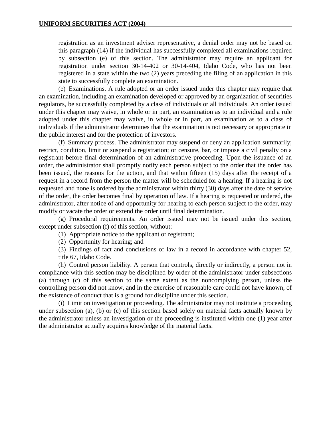registration as an investment adviser representative, a denial order may not be based on this paragraph (14) if the individual has successfully completed all examinations required by subsection (e) of this section. The administrator may require an applicant for registration under section 30-14-402 or 30-14-404, Idaho Code, who has not been registered in a state within the two (2) years preceding the filing of an application in this state to successfully complete an examination.

(e) Examinations. A rule adopted or an order issued under this chapter may require that an examination, including an examination developed or approved by an organization of securities regulators, be successfully completed by a class of individuals or all individuals. An order issued under this chapter may waive, in whole or in part, an examination as to an individual and a rule adopted under this chapter may waive, in whole or in part, an examination as to a class of individuals if the administrator determines that the examination is not necessary or appropriate in the public interest and for the protection of investors.

(f) Summary process. The administrator may suspend or deny an application summarily; restrict, condition, limit or suspend a registration; or censure, bar, or impose a civil penalty on a registrant before final determination of an administrative proceeding. Upon the issuance of an order, the administrator shall promptly notify each person subject to the order that the order has been issued, the reasons for the action, and that within fifteen (15) days after the receipt of a request in a record from the person the matter will be scheduled for a hearing. If a hearing is not requested and none is ordered by the administrator within thirty (30) days after the date of service of the order, the order becomes final by operation of law. If a hearing is requested or ordered, the administrator, after notice of and opportunity for hearing to each person subject to the order, may modify or vacate the order or extend the order until final determination.

(g) Procedural requirements. An order issued may not be issued under this section, except under subsection (f) of this section, without:

(1) Appropriate notice to the applicant or registrant;

(2) Opportunity for hearing; and

(3) Findings of fact and conclusions of law in a record in accordance with chapter 52, title 67, Idaho Code.

(h) Control person liability. A person that controls, directly or indirectly, a person not in compliance with this section may be disciplined by order of the administrator under subsections (a) through (c) of this section to the same extent as the noncomplying person, unless the controlling person did not know, and in the exercise of reasonable care could not have known, of the existence of conduct that is a ground for discipline under this section.

(i) Limit on investigation or proceeding. The administrator may not institute a proceeding under subsection (a), (b) or (c) of this section based solely on material facts actually known by the administrator unless an investigation or the proceeding is instituted within one (1) year after the administrator actually acquires knowledge of the material facts.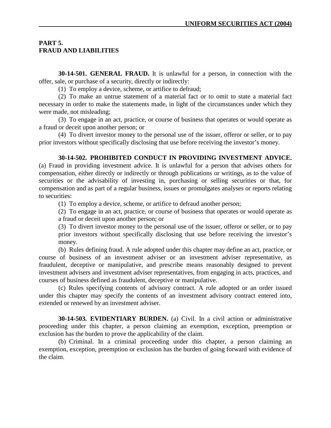## **PART 5. FRAUD AND LIABILITIES**

**30-14-501. GENERAL FRAUD.** It is unlawful for a person, in connection with the offer, sale, or purchase of a security, directly or indirectly:

(1) To employ a device, scheme, or artifice to defraud;

(2) To make an untrue statement of a material fact or to omit to state a material fact necessary in order to make the statements made, in light of the circumstances under which they were made, not misleading;

(3) To engage in an act, practice, or course of business that operates or would operate as a fraud or deceit upon another person; or

(4) To divert investor money to the personal use of the issuer, offeror or seller, or to pay prior investors without specifically disclosing that use before receiving the investor's money.

## **30-14-502. PROHIBITED CONDUCT IN PROVIDING INVESTMENT ADVICE.**

(a) Fraud in providing investment advice. It is unlawful for a person that advises others for compensation, either directly or indirectly or through publications or writings, as to the value of securities or the advisability of investing in, purchasing or selling securities or that, for compensation and as part of a regular business, issues or promulgates analyses or reports relating to securities:

(1) To employ a device, scheme, or artifice to defraud another person;

(2) To engage in an act, practice, or course of business that operates or would operate as a fraud or deceit upon another person; or

(3) To divert investor money to the personal use of the issuer, offeror or seller, or to pay prior investors without specifically disclosing that use before receiving the investor's money.

(b) Rules defining fraud. A rule adopted under this chapter may define an act, practice, or course of business of an investment adviser or an investment adviser representative, as fraudulent, deceptive or manipulative, and prescribe means reasonably designed to prevent investment advisers and investment adviser representatives, from engaging in acts, practices, and courses of business defined as fraudulent, deceptive or manipulative.

(c) Rules specifying contents of advisory contract. A rule adopted or an order issued under this chapter may specify the contents of an investment advisory contract entered into, extended or renewed by an investment adviser.

**30-14-503. EVIDENTIARY BURDEN.** (a) Civil. In a civil action or administrative proceeding under this chapter, a person claiming an exemption, exception, preemption or exclusion has the burden to prove the applicability of the claim.

(b) Criminal. In a criminal proceeding under this chapter, a person claiming an exemption, exception, preemption or exclusion has the burden of going forward with evidence of the claim.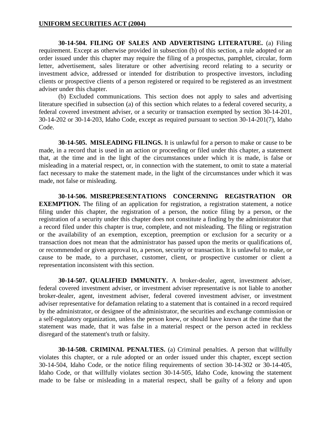**30-14-504. FILING OF SALES AND ADVERTISING LITERATURE.** (a) Filing requirement. Except as otherwise provided in subsection (b) of this section, a rule adopted or an order issued under this chapter may require the filing of a prospectus, pamphlet, circular, form letter, advertisement, sales literature or other advertising record relating to a security or investment advice, addressed or intended for distribution to prospective investors, including clients or prospective clients of a person registered or required to be registered as an investment adviser under this chapter.

(b) Excluded communications. This section does not apply to sales and advertising literature specified in subsection (a) of this section which relates to a federal covered security, a federal covered investment adviser, or a security or transaction exempted by section 30-14-201, 30-14-202 or 30-14-203, Idaho Code, except as required pursuant to section 30-14-201(7), Idaho Code.

**30-14-505. MISLEADING FILINGS.** It is unlawful for a person to make or cause to be made, in a record that is used in an action or proceeding or filed under this chapter, a statement that, at the time and in the light of the circumstances under which it is made, is false or misleading in a material respect, or, in connection with the statement, to omit to state a material fact necessary to make the statement made, in the light of the circumstances under which it was made, not false or misleading.

**30-14-506. MISREPRESENTATIONS CONCERNING REGISTRATION OR EXEMPTION.** The filing of an application for registration, a registration statement, a notice filing under this chapter, the registration of a person, the notice filing by a person, or the registration of a security under this chapter does not constitute a finding by the administrator that a record filed under this chapter is true, complete, and not misleading. The filing or registration or the availability of an exemption, exception, preemption or exclusion for a security or a transaction does not mean that the administrator has passed upon the merits or qualifications of, or recommended or given approval to, a person, security or transaction. It is unlawful to make, or cause to be made, to a purchaser, customer, client, or prospective customer or client a representation inconsistent with this section.

**30-14-507. QUALIFIED IMMUNITY.** A broker-dealer, agent, investment adviser, federal covered investment adviser, or investment adviser representative is not liable to another broker-dealer, agent, investment adviser, federal covered investment adviser, or investment adviser representative for defamation relating to a statement that is contained in a record required by the administrator, or designee of the administrator, the securities and exchange commission or a self-regulatory organization, unless the person knew, or should have known at the time that the statement was made, that it was false in a material respect or the person acted in reckless disregard of the statement's truth or falsity.

**30-14-508. CRIMINAL PENALTIES.** (a) Criminal penalties. A person that willfully violates this chapter, or a rule adopted or an order issued under this chapter, except section 30-14-504, Idaho Code, or the notice filing requirements of section 30-14-302 or 30-14-405, Idaho Code, or that willfully violates section 30-14-505, Idaho Code, knowing the statement made to be false or misleading in a material respect, shall be guilty of a felony and upon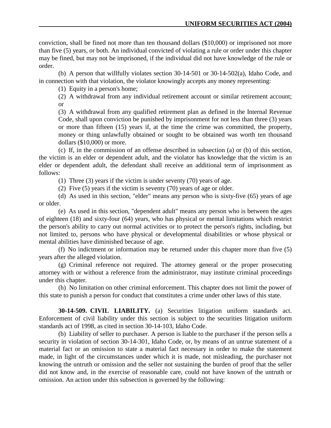conviction, shall be fined not more than ten thousand dollars (\$10,000) or imprisoned not more than five (5) years, or both. An individual convicted of violating a rule or order under this chapter may be fined, but may not be imprisoned, if the individual did not have knowledge of the rule or order.

(b) A person that willfully violates section 30-14-501 or 30-14-502(a), Idaho Code, and in connection with that violation, the violator knowingly accepts any money representing:

(1) Equity in a person's home;

(2) A withdrawal from any individual retirement account or similar retirement account; or

(3) A withdrawal from any qualified retirement plan as defined in the Internal Revenue Code, shall upon conviction be punished by imprisonment for not less than three (3) years or more than fifteen (15) years if, at the time the crime was committed, the property, money or thing unlawfully obtained or sought to be obtained was worth ten thousand dollars (\$10,000) or more.

(c) If, in the commission of an offense described in subsection (a) or (b) of this section, the victim is an elder or dependent adult, and the violator has knowledge that the victim is an elder or dependent adult, the defendant shall receive an additional term of imprisonment as follows:

(1) Three (3) years if the victim is under seventy (70) years of age.

(2) Five (5) years if the victim is seventy (70) years of age or older.

(d) As used in this section, "elder" means any person who is sixty-five (65) years of age or older.

(e) As used in this section, "dependent adult" means any person who is between the ages of eighteen (18) and sixty-four (64) years, who has physical or mental limitations which restrict the person's ability to carry out normal activities or to protect the person's rights, including, but not limited to, persons who have physical or developmental disabilities or whose physical or mental abilities have diminished because of age.

(f) No indictment or information may be returned under this chapter more than five (5) years after the alleged violation.

(g) Criminal reference not required. The attorney general or the proper prosecuting attorney with or without a reference from the administrator, may institute criminal proceedings under this chapter.

(h) No limitation on other criminal enforcement. This chapter does not limit the power of this state to punish a person for conduct that constitutes a crime under other laws of this state.

**30-14-509. CIVIL LIABILITY.** (a) Securities litigation uniform standards act. Enforcement of civil liability under this section is subject to the securities litigation uniform standards act of 1998, as cited in section 30-14-103, Idaho Code.

(b) Liability of seller to purchaser. A person is liable to the purchaser if the person sells a security in violation of section 30-14-301, Idaho Code, or, by means of an untrue statement of a material fact or an omission to state a material fact necessary in order to make the statement made, in light of the circumstances under which it is made, not misleading, the purchaser not knowing the untruth or omission and the seller not sustaining the burden of proof that the seller did not know and, in the exercise of reasonable care, could not have known of the untruth or omission. An action under this subsection is governed by the following: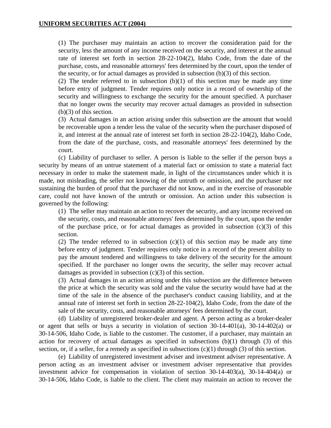(1) The purchaser may maintain an action to recover the consideration paid for the security, less the amount of any income received on the security, and interest at the annual rate of interest set forth in section 28-22-104(2), Idaho Code, from the date of the purchase, costs, and reasonable attorneys' fees determined by the court, upon the tender of the security, or for actual damages as provided in subsection (b)(3) of this section.

(2) The tender referred to in subsection  $(b)(1)$  of this section may be made any time before entry of judgment. Tender requires only notice in a record of ownership of the security and willingness to exchange the security for the amount specified. A purchaser that no longer owns the security may recover actual damages as provided in subsection (b)(3) of this section.

(3) Actual damages in an action arising under this subsection are the amount that would be recoverable upon a tender less the value of the security when the purchaser disposed of it, and interest at the annual rate of interest set forth in section 28-22-104(2), Idaho Code, from the date of the purchase, costs, and reasonable attorneys' fees determined by the court.

(c) Liability of purchaser to seller. A person is liable to the seller if the person buys a security by means of an untrue statement of a material fact or omission to state a material fact necessary in order to make the statement made, in light of the circumstances under which it is made, not misleading, the seller not knowing of the untruth or omission, and the purchaser not sustaining the burden of proof that the purchaser did not know, and in the exercise of reasonable care, could not have known of the untruth or omission. An action under this subsection is governed by the following:

(1) The seller may maintain an action to recover the security, and any income received on the security, costs, and reasonable attorneys' fees determined by the court, upon the tender of the purchase price, or for actual damages as provided in subsection  $(c)(3)$  of this section.

(2) The tender referred to in subsection  $(c)(1)$  of this section may be made any time before entry of judgment. Tender requires only notice in a record of the present ability to pay the amount tendered and willingness to take delivery of the security for the amount specified. If the purchaser no longer owns the security, the seller may recover actual damages as provided in subsection (c)(3) of this section.

(3) Actual damages in an action arising under this subsection are the difference between the price at which the security was sold and the value the security would have had at the time of the sale in the absence of the purchaser's conduct causing liability, and at the annual rate of interest set forth in section 28-22-104(2), Idaho Code, from the date of the sale of the security, costs, and reasonable attorneys' fees determined by the court.

(d) Liability of unregistered broker-dealer and agent. A person acting as a broker-dealer or agent that sells or buys a security in violation of section 30-14-401(a), 30-14-402(a) or 30-14-506, Idaho Code, is liable to the customer. The customer, if a purchaser, may maintain an action for recovery of actual damages as specified in subsections (b)(1) through (3) of this section, or, if a seller, for a remedy as specified in subsections  $(c)(1)$  through (3) of this section.

(e) Liability of unregistered investment adviser and investment adviser representative. A person acting as an investment adviser or investment adviser representative that provides investment advice for compensation in violation of section 30-14-403(a), 30-14-404(a) or 30-14-506, Idaho Code, is liable to the client. The client may maintain an action to recover the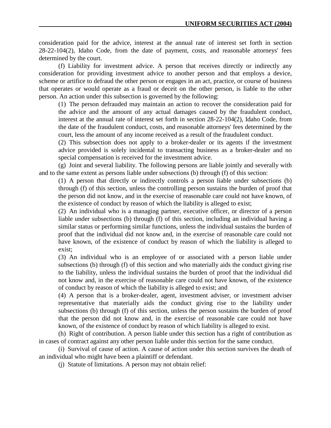consideration paid for the advice, interest at the annual rate of interest set forth in section 28-22-104(2), Idaho Code, from the date of payment, costs, and reasonable attorneys' fees determined by the court.

(f) Liability for investment advice. A person that receives directly or indirectly any consideration for providing investment advice to another person and that employs a device, scheme or artifice to defraud the other person or engages in an act, practice, or course of business that operates or would operate as a fraud or deceit on the other person, is liable to the other person. An action under this subsection is governed by the following:

(1) The person defrauded may maintain an action to recover the consideration paid for the advice and the amount of any actual damages caused by the fraudulent conduct, interest at the annual rate of interest set forth in section 28-22-104(2), Idaho Code, from the date of the fraudulent conduct, costs, and reasonable attorneys' fees determined by the court, less the amount of any income received as a result of the fraudulent conduct.

(2) This subsection does not apply to a broker-dealer or its agents if the investment advice provided is solely incidental to transacting business as a broker-dealer and no special compensation is received for the investment advice.

(g) Joint and several liability. The following persons are liable jointly and severally with and to the same extent as persons liable under subsections (b) through (f) of this section:

(1) A person that directly or indirectly controls a person liable under subsections (b) through (f) of this section, unless the controlling person sustains the burden of proof that the person did not know, and in the exercise of reasonable care could not have known, of the existence of conduct by reason of which the liability is alleged to exist;

(2) An individual who is a managing partner, executive officer, or director of a person liable under subsections (b) through (f) of this section, including an individual having a similar status or performing similar functions, unless the individual sustains the burden of proof that the individual did not know and, in the exercise of reasonable care could not have known, of the existence of conduct by reason of which the liability is alleged to exist;

(3) An individual who is an employee of or associated with a person liable under subsections (b) through (f) of this section and who materially aids the conduct giving rise to the liability, unless the individual sustains the burden of proof that the individual did not know and, in the exercise of reasonable care could not have known, of the existence of conduct by reason of which the liability is alleged to exist; and

(4) A person that is a broker-dealer, agent, investment adviser, or investment adviser representative that materially aids the conduct giving rise to the liability under subsections (b) through (f) of this section, unless the person sustains the burden of proof that the person did not know and, in the exercise of reasonable care could not have known, of the existence of conduct by reason of which liability is alleged to exist.

(h) Right of contribution. A person liable under this section has a right of contribution as in cases of contract against any other person liable under this section for the same conduct.

(i) Survival of cause of action. A cause of action under this section survives the death of an individual who might have been a plaintiff or defendant.

(j) Statute of limitations. A person may not obtain relief: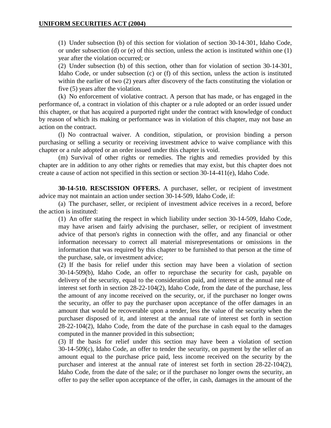(1) Under subsection (b) of this section for violation of section 30-14-301, Idaho Code, or under subsection (d) or (e) of this section, unless the action is instituted within one (1) year after the violation occurred; or

(2) Under subsection (b) of this section, other than for violation of section 30-14-301, Idaho Code, or under subsection (c) or (f) of this section, unless the action is instituted within the earlier of two (2) years after discovery of the facts constituting the violation or five (5) years after the violation.

(k) No enforcement of violative contract. A person that has made, or has engaged in the performance of, a contract in violation of this chapter or a rule adopted or an order issued under this chapter, or that has acquired a purported right under the contract with knowledge of conduct by reason of which its making or performance was in violation of this chapter, may not base an action on the contract.

(l) No contractual waiver. A condition, stipulation, or provision binding a person purchasing or selling a security or receiving investment advice to waive compliance with this chapter or a rule adopted or an order issued under this chapter is void.

(m) Survival of other rights or remedies. The rights and remedies provided by this chapter are in addition to any other rights or remedies that may exist, but this chapter does not create a cause of action not specified in this section or section 30-14-411(e), Idaho Code.

**30-14-510. RESCISSION OFFERS.** A purchaser, seller, or recipient of investment advice may not maintain an action under section 30-14-509, Idaho Code, if:

(a) The purchaser, seller, or recipient of investment advice receives in a record, before the action is instituted:

(1) An offer stating the respect in which liability under section 30-14-509, Idaho Code, may have arisen and fairly advising the purchaser, seller, or recipient of investment advice of that person's rights in connection with the offer, and any financial or other information necessary to correct all material misrepresentations or omissions in the information that was required by this chapter to be furnished to that person at the time of the purchase, sale, or investment advice;

(2) If the basis for relief under this section may have been a violation of section 30-14-509(b), Idaho Code, an offer to repurchase the security for cash, payable on delivery of the security, equal to the consideration paid, and interest at the annual rate of interest set forth in section 28-22-104(2), Idaho Code, from the date of the purchase, less the amount of any income received on the security, or, if the purchaser no longer owns the security, an offer to pay the purchaser upon acceptance of the offer damages in an amount that would be recoverable upon a tender, less the value of the security when the purchaser disposed of it, and interest at the annual rate of interest set forth in section 28-22-104(2), Idaho Code, from the date of the purchase in cash equal to the damages computed in the manner provided in this subsection;

(3) If the basis for relief under this section may have been a violation of section 30-14-509(c), Idaho Code, an offer to tender the security, on payment by the seller of an amount equal to the purchase price paid, less income received on the security by the purchaser and interest at the annual rate of interest set forth in section 28-22-104(2), Idaho Code, from the date of the sale; or if the purchaser no longer owns the security, an offer to pay the seller upon acceptance of the offer, in cash, damages in the amount of the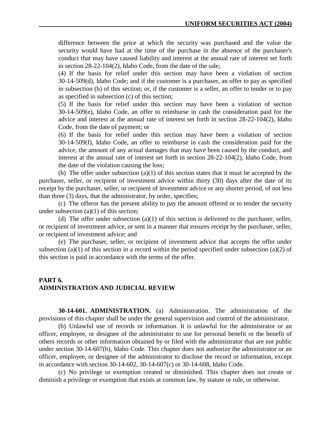difference between the price at which the security was purchased and the value the security would have had at the time of the purchase in the absence of the purchaser's conduct that may have caused liability and interest at the annual rate of interest set forth in section 28-22-104(2), Idaho Code, from the date of the sale;

(4) If the basis for relief under this section may have been a violation of section 30-14-509(d), Idaho Code; and if the customer is a purchaser, an offer to pay as specified in subsection (b) of this section; or, if the customer is a seller, an offer to tender or to pay as specified in subsection (c) of this section;

(5) If the basis for relief under this section may have been a violation of section 30-14-509(e), Idaho Code, an offer to reimburse in cash the consideration paid for the advice and interest at the annual rate of interest set forth in section 28-22-104(2), Idaho Code, from the date of payment; or

(6) If the basis for relief under this section may have been a violation of section 30-14-509(f), Idaho Code, an offer to reimburse in cash the consideration paid for the advice, the amount of any actual damages that may have been caused by the conduct, and interest at the annual rate of interest set forth in section 28-22-104(2), Idaho Code, from the date of the violation causing the loss;

(b) The offer under subsection (a)(1) of this section states that it must be accepted by the purchaser, seller, or recipient of investment advice within thirty (30) days after the date of its receipt by the purchaser, seller, or recipient of investment advice or any shorter period, of not less than three (3) days, that the administrator, by order, specifies;

(c) The offeror has the present ability to pay the amount offered or to tender the security under subsection  $(a)(1)$  of this section;

(d) The offer under subsection (a)(1) of this section is delivered to the purchaser, seller, or recipient of investment advice, or sent in a manner that ensures receipt by the purchaser, seller, or recipient of investment advice; and

(e) The purchaser, seller, or recipient of investment advice that accepts the offer under subsection (a)(1) of this section in a record within the period specified under subsection (a)(2) of this section is paid in accordance with the terms of the offer.

## **PART 6. ADMINISTRATION AND JUDICIAL REVIEW**

**30-14-601. ADMINISTRATION.** (a) Administration. The administration of the provisions of this chapter shall be under the general supervision and control of the administrator.

(b) Unlawful use of records or information. It is unlawful for the administrator or an officer, employee, or designee of the administrator to use for personal benefit or the benefit of others records or other information obtained by or filed with the administrator that are not public under section 30-14-607(b), Idaho Code. This chapter does not authorize the administrator or an officer, employee, or designee of the administrator to disclose the record or information, except in accordance with section 30-14-602, 30-14-607(c) or 30-14-608, Idaho Code.

(c) No privilege or exemption created or diminished. This chapter does not create or diminish a privilege or exemption that exists at common law, by statute or rule, or otherwise.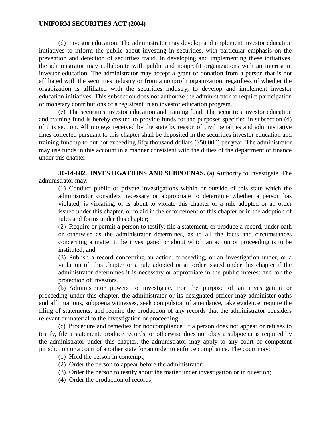(d) Investor education. The administrator may develop and implement investor education initiatives to inform the public about investing in securities, with particular emphasis on the prevention and detection of securities fraud. In developing and implementing these initiatives, the administrator may collaborate with public and nonprofit organizations with an interest in investor education. The administrator may accept a grant or donation from a person that is not affiliated with the securities industry or from a nonprofit organization, regardless of whether the organization is affiliated with the securities industry, to develop and implement investor education initiatives. This subsection does not authorize the administrator to require participation or monetary contributions of a registrant in an investor education program.

(e) The securities investor education and training fund. The securities investor education and training fund is hereby created to provide funds for the purposes specified in subsection (d) of this section. All moneys received by the state by reason of civil penalties and administrative fines collected pursuant to this chapter shall be deposited in the securities investor education and training fund up to but not exceeding fifty thousand dollars (\$50,000) per year. The administrator may use funds in this account in a manner consistent with the duties of the department of finance under this chapter.

**30-14-602. INVESTIGATIONS AND SUBPOENAS.** (a) Authority to investigate. The administrator may:

(1) Conduct public or private investigations within or outside of this state which the administrator considers necessary or appropriate to determine whether a person has violated, is violating, or is about to violate this chapter or a rule adopted or an order issued under this chapter, or to aid in the enforcement of this chapter or in the adoption of rules and forms under this chapter;

(2) Require or permit a person to testify, file a statement, or produce a record, under oath or otherwise as the administrator determines, as to all the facts and circumstances concerning a matter to be investigated or about which an action or proceeding is to be instituted; and

(3) Publish a record concerning an action, proceeding, or an investigation under, or a violation of, this chapter or a rule adopted or an order issued under this chapter if the administrator determines it is necessary or appropriate in the public interest and for the protection of investors.

(b) Administrator powers to investigate. For the purpose of an investigation or proceeding under this chapter, the administrator or its designated officer may administer oaths and affirmations, subpoena witnesses, seek compulsion of attendance, take evidence, require the filing of statements, and require the production of any records that the administrator considers relevant or material to the investigation or proceeding.

(c) Procedure and remedies for noncompliance. If a person does not appear or refuses to testify, file a statement, produce records, or otherwise does not obey a subpoena as required by the administrator under this chapter, the administrator may apply to any court of competent jurisdiction or a court of another state for an order to enforce compliance. The court may:

(1) Hold the person in contempt;

- (2) Order the person to appear before the administrator;
- (3) Order the person to testify about the matter under investigation or in question;
- (4) Order the production of records;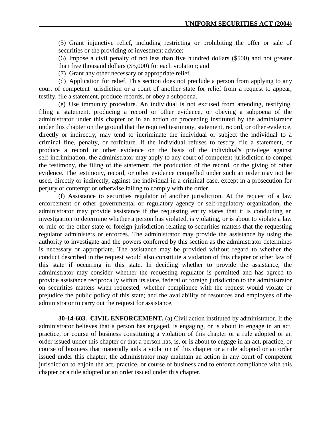(5) Grant injunctive relief, including restricting or prohibiting the offer or sale of securities or the providing of investment advice;

(6) Impose a civil penalty of not less than five hundred dollars (\$500) and not greater than five thousand dollars (\$5,000) for each violation; and

(7) Grant any other necessary or appropriate relief.

(d) Application for relief. This section does not preclude a person from applying to any court of competent jurisdiction or a court of another state for relief from a request to appear, testify, file a statement, produce records, or obey a subpoena.

(e) Use immunity procedure. An individual is not excused from attending, testifying, filing a statement, producing a record or other evidence, or obeying a subpoena of the administrator under this chapter or in an action or proceeding instituted by the administrator under this chapter on the ground that the required testimony, statement, record, or other evidence, directly or indirectly, may tend to incriminate the individual or subject the individual to a criminal fine, penalty, or forfeiture. If the individual refuses to testify, file a statement, or produce a record or other evidence on the basis of the individual's privilege against self-incrimination, the administrator may apply to any court of competent jurisdiction to compel the testimony, the filing of the statement, the production of the record, or the giving of other evidence. The testimony, record, or other evidence compelled under such an order may not be used, directly or indirectly, against the individual in a criminal case, except in a prosecution for perjury or contempt or otherwise failing to comply with the order.

(f) Assistance to securities regulator of another jurisdiction. At the request of a law enforcement or other governmental or regulatory agency or self-regulatory organization, the administrator may provide assistance if the requesting entity states that it is conducting an investigation to determine whether a person has violated, is violating, or is about to violate a law or rule of the other state or foreign jurisdiction relating to securities matters that the requesting regulator administers or enforces. The administrator may provide the assistance by using the authority to investigate and the powers conferred by this section as the administrator determines is necessary or appropriate. The assistance may be provided without regard to whether the conduct described in the request would also constitute a violation of this chapter or other law of this state if occurring in this state. In deciding whether to provide the assistance, the administrator may consider whether the requesting regulator is permitted and has agreed to provide assistance reciprocally within its state, federal or foreign jurisdiction to the administrator on securities matters when requested; whether compliance with the request would violate or prejudice the public policy of this state; and the availability of resources and employees of the administrator to carry out the request for assistance.

**30-14-603. CIVIL ENFORCEMENT.** (a) Civil action instituted by administrator. If the administrator believes that a person has engaged, is engaging, or is about to engage in an act, practice, or course of business constituting a violation of this chapter or a rule adopted or an order issued under this chapter or that a person has, is, or is about to engage in an act, practice, or course of business that materially aids a violation of this chapter or a rule adopted or an order issued under this chapter, the administrator may maintain an action in any court of competent jurisdiction to enjoin the act, practice, or course of business and to enforce compliance with this chapter or a rule adopted or an order issued under this chapter.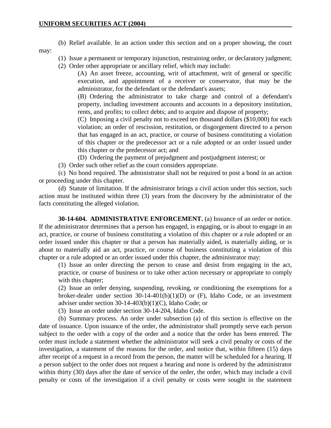(b) Relief available. In an action under this section and on a proper showing, the court may:

- (1) Issue a permanent or temporary injunction, restraining order, or declaratory judgment;
- (2) Order other appropriate or ancillary relief, which may include:

(A) An asset freeze, accounting, writ of attachment, writ of general or specific execution, and appointment of a receiver or conservator, that may be the administrator, for the defendant or the defendant's assets;

(B) Ordering the administrator to take charge and control of a defendant's property, including investment accounts and accounts in a depository institution, rents, and profits; to collect debts; and to acquire and dispose of property;

(C) Imposing a civil penalty not to exceed ten thousand dollars (\$10,000) for each violation; an order of rescission, restitution, or disgorgement directed to a person that has engaged in an act, practice, or course of business constituting a violation of this chapter or the predecessor act or a rule adopted or an order issued under this chapter or the predecessor act; and

(D) Ordering the payment of prejudgment and postjudgment interest; or

(3) Order such other relief as the court considers appropriate.

(c) No bond required. The administrator shall not be required to post a bond in an action or proceeding under this chapter.

(d) Statute of limitation. If the administrator brings a civil action under this section, such action must be instituted within three (3) years from the discovery by the administrator of the facts constituting the alleged violation.

**30-14-604. ADMINISTRATIVE ENFORCEMENT.** (a) Issuance of an order or notice. If the administrator determines that a person has engaged, is engaging, or is about to engage in an act, practice, or course of business constituting a violation of this chapter or a rule adopted or an order issued under this chapter or that a person has materially aided, is materially aiding, or is about to materially aid an act, practice, or course of business constituting a violation of this chapter or a rule adopted or an order issued under this chapter, the administrator may:

(1) Issue an order directing the person to cease and desist from engaging in the act, practice, or course of business or to take other action necessary or appropriate to comply with this chapter;

(2) Issue an order denying, suspending, revoking, or conditioning the exemptions for a broker-dealer under section  $30-14-401(b)(1)(D)$  or (F), Idaho Code, or an investment adviser under section 30-14-403(b)(1)(C), Idaho Code; or

(3) Issue an order under section 30-14-204, Idaho Code.

(b) Summary process. An order under subsection (a) of this section is effective on the date of issuance. Upon issuance of the order, the administrator shall promptly serve each person subject to the order with a copy of the order and a notice that the order has been entered. The order must include a statement whether the administrator will seek a civil penalty or costs of the investigation, a statement of the reasons for the order, and notice that, within fifteen (15) days after receipt of a request in a record from the person, the matter will be scheduled for a hearing. If a person subject to the order does not request a hearing and none is ordered by the administrator within thirty (30) days after the date of service of the order, the order, which may include a civil penalty or costs of the investigation if a civil penalty or costs were sought in the statement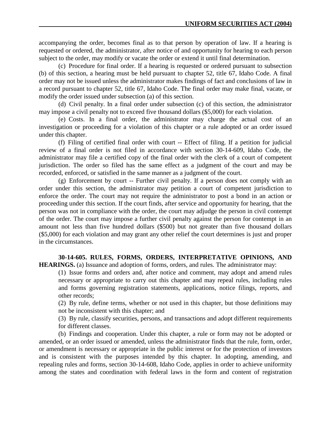accompanying the order, becomes final as to that person by operation of law. If a hearing is requested or ordered, the administrator, after notice of and opportunity for hearing to each person subject to the order, may modify or vacate the order or extend it until final determination.

(c) Procedure for final order. If a hearing is requested or ordered pursuant to subsection (b) of this section, a hearing must be held pursuant to chapter 52, title 67, Idaho Code. A final order may not be issued unless the administrator makes findings of fact and conclusions of law in a record pursuant to chapter 52, title 67, Idaho Code. The final order may make final, vacate, or modify the order issued under subsection (a) of this section.

(d) Civil penalty. In a final order under subsection (c) of this section, the administrator may impose a civil penalty not to exceed five thousand dollars (\$5,000) for each violation.

(e) Costs. In a final order, the administrator may charge the actual cost of an investigation or proceeding for a violation of this chapter or a rule adopted or an order issued under this chapter.

(f) Filing of certified final order with court -- Effect of filing. If a petition for judicial review of a final order is not filed in accordance with section 30-14-609, Idaho Code, the administrator may file a certified copy of the final order with the clerk of a court of competent jurisdiction. The order so filed has the same effect as a judgment of the court and may be recorded, enforced, or satisfied in the same manner as a judgment of the court.

(g) Enforcement by court -- Further civil penalty. If a person does not comply with an order under this section, the administrator may petition a court of competent jurisdiction to enforce the order. The court may not require the administrator to post a bond in an action or proceeding under this section. If the court finds, after service and opportunity for hearing, that the person was not in compliance with the order, the court may adjudge the person in civil contempt of the order. The court may impose a further civil penalty against the person for contempt in an amount not less than five hundred dollars (\$500) but not greater than five thousand dollars (\$5,000) for each violation and may grant any other relief the court determines is just and proper in the circumstances.

**30-14-605. RULES, FORMS, ORDERS, INTERPRETATIVE OPINIONS, AND HEARINGS.** (a) Issuance and adoption of forms, orders, and rules. The administrator may:

(1) Issue forms and orders and, after notice and comment, may adopt and amend rules necessary or appropriate to carry out this chapter and may repeal rules, including rules and forms governing registration statements, applications, notice filings, reports, and other records;

(2) By rule, define terms, whether or not used in this chapter, but those definitions may not be inconsistent with this chapter; and

(3) By rule, classify securities, persons, and transactions and adopt different requirements for different classes.

(b) Findings and cooperation. Under this chapter, a rule or form may not be adopted or amended, or an order issued or amended, unless the administrator finds that the rule, form, order, or amendment is necessary or appropriate in the public interest or for the protection of investors and is consistent with the purposes intended by this chapter. In adopting, amending, and repealing rules and forms, section 30-14-608, Idaho Code, applies in order to achieve uniformity among the states and coordination with federal laws in the form and content of registration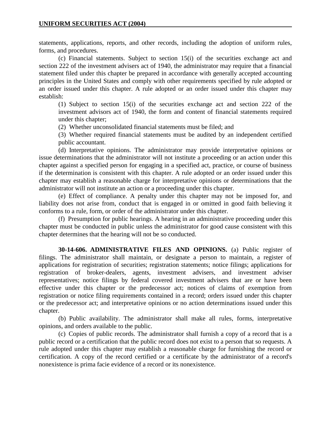statements, applications, reports, and other records, including the adoption of uniform rules, forms, and procedures.

(c) Financial statements. Subject to section 15(i) of the securities exchange act and section 222 of the investment advisers act of 1940, the administrator may require that a financial statement filed under this chapter be prepared in accordance with generally accepted accounting principles in the United States and comply with other requirements specified by rule adopted or an order issued under this chapter. A rule adopted or an order issued under this chapter may establish:

(1) Subject to section 15(i) of the securities exchange act and section 222 of the investment advisors act of 1940, the form and content of financial statements required under this chapter;

(2) Whether unconsolidated financial statements must be filed; and

(3) Whether required financial statements must be audited by an independent certified public accountant.

(d) Interpretative opinions. The administrator may provide interpretative opinions or issue determinations that the administrator will not institute a proceeding or an action under this chapter against a specified person for engaging in a specified act, practice, or course of business if the determination is consistent with this chapter. A rule adopted or an order issued under this chapter may establish a reasonable charge for interpretative opinions or determinations that the administrator will not institute an action or a proceeding under this chapter.

(e) Effect of compliance. A penalty under this chapter may not be imposed for, and liability does not arise from, conduct that is engaged in or omitted in good faith believing it conforms to a rule, form, or order of the administrator under this chapter.

(f) Presumption for public hearings. A hearing in an administrative proceeding under this chapter must be conducted in public unless the administrator for good cause consistent with this chapter determines that the hearing will not be so conducted.

**30-14-606. ADMINISTRATIVE FILES AND OPINIONS.** (a) Public register of filings. The administrator shall maintain, or designate a person to maintain, a register of applications for registration of securities; registration statements; notice filings; applications for registration of broker-dealers, agents, investment advisers, and investment adviser representatives; notice filings by federal covered investment advisers that are or have been effective under this chapter or the predecessor act; notices of claims of exemption from registration or notice filing requirements contained in a record; orders issued under this chapter or the predecessor act; and interpretative opinions or no action determinations issued under this chapter.

(b) Public availability. The administrator shall make all rules, forms, interpretative opinions, and orders available to the public.

(c) Copies of public records. The administrator shall furnish a copy of a record that is a public record or a certification that the public record does not exist to a person that so requests. A rule adopted under this chapter may establish a reasonable charge for furnishing the record or certification. A copy of the record certified or a certificate by the administrator of a record's nonexistence is prima facie evidence of a record or its nonexistence.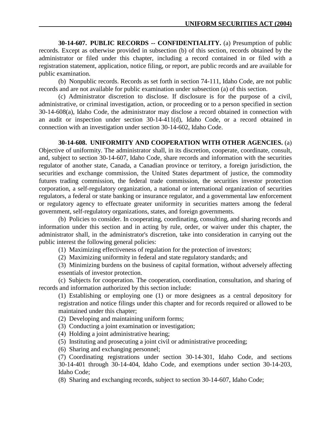**30-14-607. PUBLIC RECORDS -- CONFIDENTIALITY.** (a) Presumption of public records. Except as otherwise provided in subsection (b) of this section, records obtained by the administrator or filed under this chapter, including a record contained in or filed with a registration statement, application, notice filing, or report, are public records and are available for public examination.

(b) Nonpublic records. Records as set forth in section 74-111, Idaho Code, are not public records and are not available for public examination under subsection (a) of this section.

(c) Administrator discretion to disclose. If disclosure is for the purpose of a civil, administrative, or criminal investigation, action, or proceeding or to a person specified in section 30-14-608(a), Idaho Code, the administrator may disclose a record obtained in connection with an audit or inspection under section 30-14-411(d), Idaho Code, or a record obtained in connection with an investigation under section 30-14-602, Idaho Code.

**30-14-608. UNIFORMITY AND COOPERATION WITH OTHER AGENCIES.** (a) Objective of uniformity. The administrator shall, in its discretion, cooperate, coordinate, consult, and, subject to section 30-14-607, Idaho Code, share records and information with the securities regulator of another state, Canada, a Canadian province or territory, a foreign jurisdiction, the securities and exchange commission, the United States department of justice, the commodity futures trading commission, the federal trade commission, the securities investor protection corporation, a self-regulatory organization, a national or international organization of securities regulators, a federal or state banking or insurance regulator, and a governmental law enforcement or regulatory agency to effectuate greater uniformity in securities matters among the federal government, self-regulatory organizations, states, and foreign governments.

(b) Policies to consider. In cooperating, coordinating, consulting, and sharing records and information under this section and in acting by rule, order, or waiver under this chapter, the administrator shall, in the administrator's discretion, take into consideration in carrying out the public interest the following general policies:

(1) Maximizing effectiveness of regulation for the protection of investors;

(2) Maximizing uniformity in federal and state regulatory standards; and

(3) Minimizing burdens on the business of capital formation, without adversely affecting essentials of investor protection.

(c) Subjects for cooperation. The cooperation, coordination, consultation, and sharing of records and information authorized by this section include:

(1) Establishing or employing one (1) or more designees as a central depository for registration and notice filings under this chapter and for records required or allowed to be maintained under this chapter;

(2) Developing and maintaining uniform forms;

(3) Conducting a joint examination or investigation;

- (4) Holding a joint administrative hearing;
- (5) Instituting and prosecuting a joint civil or administrative proceeding;
- (6) Sharing and exchanging personnel;

(7) Coordinating registrations under section 30-14-301, Idaho Code, and sections 30-14-401 through 30-14-404, Idaho Code, and exemptions under section 30-14-203, Idaho Code;

(8) Sharing and exchanging records, subject to section 30-14-607, Idaho Code;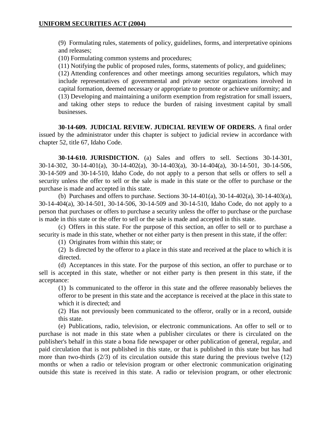(9) Formulating rules, statements of policy, guidelines, forms, and interpretative opinions and releases;

(10) Formulating common systems and procedures;

(11) Notifying the public of proposed rules, forms, statements of policy, and guidelines;

(12) Attending conferences and other meetings among securities regulators, which may include representatives of governmental and private sector organizations involved in capital formation, deemed necessary or appropriate to promote or achieve uniformity; and (13) Developing and maintaining a uniform exemption from registration for small issuers, and taking other steps to reduce the burden of raising investment capital by small businesses.

**30-14-609. JUDICIAL REVIEW. JUDICIAL REVIEW OF ORDERS.** A final order issued by the administrator under this chapter is subject to judicial review in accordance with chapter 52, title 67, Idaho Code.

**30-14-610. JURISDICTION.** (a) Sales and offers to sell. Sections 30-14-301, 30-14-302, 30-14-401(a), 30-14-402(a), 30-14-403(a), 30-14-404(a), 30-14-501, 30-14-506, 30-14-509 and 30-14-510, Idaho Code, do not apply to a person that sells or offers to sell a security unless the offer to sell or the sale is made in this state or the offer to purchase or the purchase is made and accepted in this state.

(b) Purchases and offers to purchase. Sections 30-14-401(a), 30-14-402(a), 30-14-403(a), 30-14-404(a), 30-14-501, 30-14-506, 30-14-509 and 30-14-510, Idaho Code, do not apply to a person that purchases or offers to purchase a security unless the offer to purchase or the purchase is made in this state or the offer to sell or the sale is made and accepted in this state.

(c) Offers in this state. For the purpose of this section, an offer to sell or to purchase a security is made in this state, whether or not either party is then present in this state, if the offer:

(1) Originates from within this state; or

(2) Is directed by the offeror to a place in this state and received at the place to which it is directed.

(d) Acceptances in this state. For the purpose of this section, an offer to purchase or to sell is accepted in this state, whether or not either party is then present in this state, if the acceptance:

(1) Is communicated to the offeror in this state and the offeree reasonably believes the offeror to be present in this state and the acceptance is received at the place in this state to which it is directed; and

(2) Has not previously been communicated to the offeror, orally or in a record, outside this state.

(e) Publications, radio, television, or electronic communications. An offer to sell or to purchase is not made in this state when a publisher circulates or there is circulated on the publisher's behalf in this state a bona fide newspaper or other publication of general, regular, and paid circulation that is not published in this state, or that is published in this state but has had more than two-thirds  $(2/3)$  of its circulation outside this state during the previous twelve  $(12)$ months or when a radio or television program or other electronic communication originating outside this state is received in this state. A radio or television program, or other electronic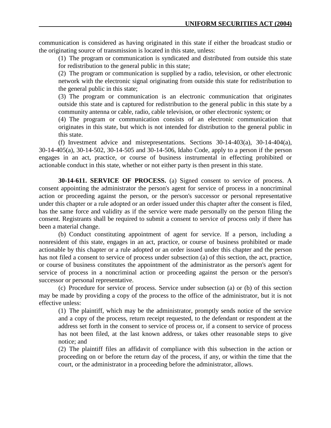communication is considered as having originated in this state if either the broadcast studio or the originating source of transmission is located in this state, unless:

(1) The program or communication is syndicated and distributed from outside this state for redistribution to the general public in this state;

(2) The program or communication is supplied by a radio, television, or other electronic network with the electronic signal originating from outside this state for redistribution to the general public in this state;

(3) The program or communication is an electronic communication that originates outside this state and is captured for redistribution to the general public in this state by a community antenna or cable, radio, cable television, or other electronic system; or

(4) The program or communication consists of an electronic communication that originates in this state, but which is not intended for distribution to the general public in this state.

(f) Investment advice and misrepresentations. Sections 30-14-403(a), 30-14-404(a), 30-14-405(a), 30-14-502, 30-14-505 and 30-14-506, Idaho Code, apply to a person if the person engages in an act, practice, or course of business instrumental in effecting prohibited or actionable conduct in this state, whether or not either party is then present in this state.

**30-14-611. SERVICE OF PROCESS.** (a) Signed consent to service of process. A consent appointing the administrator the person's agent for service of process in a noncriminal action or proceeding against the person, or the person's successor or personal representative under this chapter or a rule adopted or an order issued under this chapter after the consent is filed, has the same force and validity as if the service were made personally on the person filing the consent. Registrants shall be required to submit a consent to service of process only if there has been a material change.

(b) Conduct constituting appointment of agent for service. If a person, including a nonresident of this state, engages in an act, practice, or course of business prohibited or made actionable by this chapter or a rule adopted or an order issued under this chapter and the person has not filed a consent to service of process under subsection (a) of this section, the act, practice, or course of business constitutes the appointment of the administrator as the person's agent for service of process in a noncriminal action or proceeding against the person or the person's successor or personal representative.

(c) Procedure for service of process. Service under subsection (a) or (b) of this section may be made by providing a copy of the process to the office of the administrator, but it is not effective unless:

(1) The plaintiff, which may be the administrator, promptly sends notice of the service and a copy of the process, return receipt requested, to the defendant or respondent at the address set forth in the consent to service of process or, if a consent to service of process has not been filed, at the last known address, or takes other reasonable steps to give notice; and

(2) The plaintiff files an affidavit of compliance with this subsection in the action or proceeding on or before the return day of the process, if any, or within the time that the court, or the administrator in a proceeding before the administrator, allows.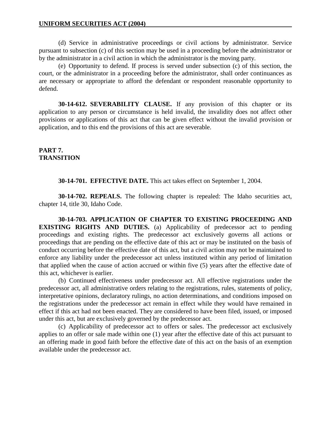(d) Service in administrative proceedings or civil actions by administrator. Service pursuant to subsection (c) of this section may be used in a proceeding before the administrator or by the administrator in a civil action in which the administrator is the moving party.

(e) Opportunity to defend. If process is served under subsection (c) of this section, the court, or the administrator in a proceeding before the administrator, shall order continuances as are necessary or appropriate to afford the defendant or respondent reasonable opportunity to defend.

**30-14-612. SEVERABILITY CLAUSE.** If any provision of this chapter or its application to any person or circumstance is held invalid, the invalidity does not affect other provisions or applications of this act that can be given effect without the invalid provision or application, and to this end the provisions of this act are severable.

## **PART 7. TRANSITION**

**30-14-701. EFFECTIVE DATE.** This act takes effect on September 1, 2004.

**30-14-702. REPEALS.** The following chapter is repealed: The Idaho securities act, chapter 14, title 30, Idaho Code.

**30-14-703. APPLICATION OF CHAPTER TO EXISTING PROCEEDING AND EXISTING RIGHTS AND DUTIES.** (a) Applicability of predecessor act to pending proceedings and existing rights. The predecessor act exclusively governs all actions or proceedings that are pending on the effective date of this act or may be instituted on the basis of conduct occurring before the effective date of this act, but a civil action may not be maintained to enforce any liability under the predecessor act unless instituted within any period of limitation that applied when the cause of action accrued or within five (5) years after the effective date of this act, whichever is earlier.

(b) Continued effectiveness under predecessor act. All effective registrations under the predecessor act, all administrative orders relating to the registrations, rules, statements of policy, interpretative opinions, declaratory rulings, no action determinations, and conditions imposed on the registrations under the predecessor act remain in effect while they would have remained in effect if this act had not been enacted. They are considered to have been filed, issued, or imposed under this act, but are exclusively governed by the predecessor act.

(c) Applicability of predecessor act to offers or sales. The predecessor act exclusively applies to an offer or sale made within one (1) year after the effective date of this act pursuant to an offering made in good faith before the effective date of this act on the basis of an exemption available under the predecessor act.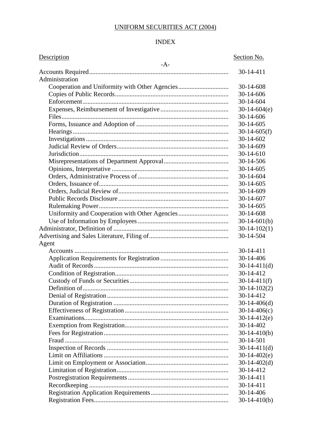## **UNIFORM SECURITIES ACT (2004)**

## **INDEX**

| Description                                    | Section No.    |
|------------------------------------------------|----------------|
| -A-                                            |                |
|                                                | 30-14-411      |
| Administration                                 |                |
|                                                | 30-14-608      |
|                                                | 30-14-606      |
|                                                | 30-14-604      |
|                                                | $30-14-604(e)$ |
|                                                | 30-14-606      |
|                                                | $30-14-605$    |
|                                                | $30-14-605(f)$ |
|                                                | 30-14-602      |
|                                                | 30-14-609      |
|                                                | 30-14-610      |
|                                                | 30-14-506      |
|                                                | 30-14-605      |
|                                                | 30-14-604      |
|                                                | 30-14-605      |
|                                                | 30-14-609      |
|                                                | 30-14-607      |
|                                                | 30-14-605      |
| Uniformity and Cooperation with Other Agencies | 30-14-608      |
|                                                | $30-14-601(b)$ |
|                                                | $30-14-102(1)$ |
|                                                | 30-14-504      |
| Agent                                          |                |
|                                                | 30-14-411      |
|                                                | 30-14-406      |
|                                                | $30-14-411(d)$ |
|                                                | 30-14-412      |
|                                                | $30-14-411(f)$ |
|                                                | $30-14-102(2)$ |
|                                                | 30-14-412      |
|                                                | $30-14-406(d)$ |
|                                                | $30-14-406(c)$ |
|                                                | $30-14-412(e)$ |
|                                                | 30-14-402      |
|                                                | $30-14-410(b)$ |
|                                                | 30-14-501      |
|                                                | $30-14-411(d)$ |
|                                                | $30-14-402(e)$ |
|                                                | $30-14-402(d)$ |
|                                                | 30-14-412      |
|                                                | 30-14-411      |
|                                                | 30-14-411      |
|                                                | 30-14-406      |
|                                                | $30-14-410(b)$ |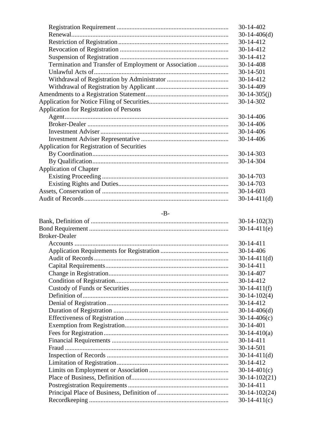|                                                       | 30-14-402      |
|-------------------------------------------------------|----------------|
|                                                       | $30-14-406(d)$ |
|                                                       | 30-14-412      |
|                                                       | 30-14-412      |
|                                                       | 30-14-412      |
| Termination and Transfer of Employment or Association | 30-14-408      |
|                                                       | 30-14-501      |
|                                                       | 30-14-412      |
|                                                       | 30-14-409      |
|                                                       | $30-14-305(i)$ |
|                                                       | 30-14-302      |
| Application for Registration of Persons               |                |
|                                                       | 30-14-406      |
|                                                       | 30-14-406      |
|                                                       | 30-14-406      |
|                                                       | 30-14-406      |
| Application for Registration of Securities            |                |
|                                                       | 30-14-303      |
|                                                       | 30-14-304      |
| <b>Application of Chapter</b>                         |                |
|                                                       | 30-14-703      |
|                                                       | 30-14-703      |
|                                                       | 30-14-603      |
|                                                       | $30-14-411(d)$ |
|                                                       |                |

## -B-

|                      | $30-14-102(3)$      |
|----------------------|---------------------|
|                      | $30-14-411(e)$      |
| <b>Broker-Dealer</b> |                     |
|                      | 30-14-411           |
|                      | 30-14-406           |
|                      | $30-14-411(d)$      |
|                      | 30-14-411           |
|                      | 30-14-407           |
|                      | 30-14-412           |
|                      | $30-14-411(f)$      |
|                      | $30-14-102(4)$      |
|                      | 30-14-412           |
|                      | $30-14-406(d)$      |
|                      | $30-14-406(c)$      |
|                      | 30-14-401           |
|                      | $30-14-410(a)$      |
|                      | 30-14-411           |
| Fraud.               | 30-14-501           |
|                      | $30-14-411(d)$      |
|                      | 30-14-412           |
|                      | $30-14-401(c)$      |
|                      | $30-14-102(21)$     |
|                      | 30-14-411           |
|                      | $30 - 14 - 102(24)$ |
|                      | $30-14-411(c)$      |
|                      |                     |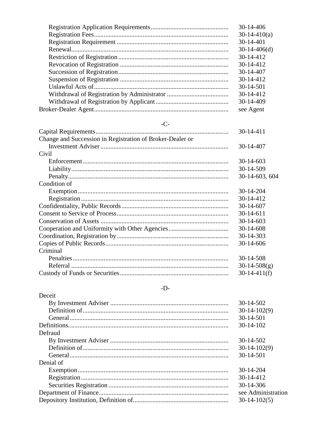| 30-14-406      |
|----------------|
| $30-14-410(a)$ |
| $30-14-401$    |
| $30-14-406(d)$ |
| 30-14-412      |
| 30-14-412      |
| 30-14-407      |
| 30-14-412      |
| $30-14-501$    |
| 30-14-412      |
| 30-14-409      |
| see Agent      |

## $-C-$

|                                                           | 30-14-411       |
|-----------------------------------------------------------|-----------------|
| Change and Succession in Registration of Broker-Dealer or |                 |
|                                                           | 30-14-407       |
| Civil                                                     |                 |
|                                                           | $30 - 14 - 603$ |
|                                                           | 30-14-509       |
|                                                           | 30-14-603, 604  |
| Condition of                                              |                 |
|                                                           | 30-14-204       |
|                                                           | 30-14-412       |
|                                                           | 30-14-607       |
|                                                           | 30-14-611       |
|                                                           | 30-14-603       |
|                                                           | 30-14-608       |
|                                                           | 30-14-303       |
|                                                           | 30-14-606       |
| Criminal                                                  |                 |
|                                                           | 30-14-508       |
|                                                           | $30-14-508(g)$  |
|                                                           | $30-14-411(f)$  |

## -D-

| Deceit    |                    |
|-----------|--------------------|
|           | $30-14-502$        |
|           | $30-14-102(9)$     |
|           | $30 - 14 - 501$    |
|           | $30-14-102$        |
| Defraud   |                    |
|           | 30-14-502          |
|           | $30-14-102(9)$     |
|           | $30 - 14 - 501$    |
| Denial of |                    |
|           | $30-14-204$        |
|           | 30-14-412          |
|           | 30-14-306          |
|           | see Administration |
|           | $30-14-102(5)$     |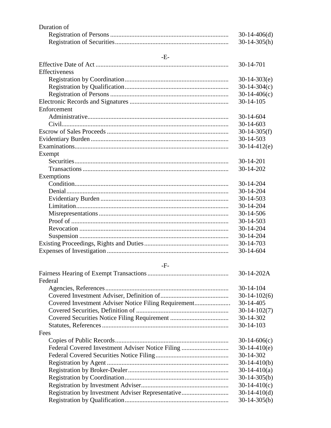| Duration of                                          |                |
|------------------------------------------------------|----------------|
|                                                      | $30-14-406(d)$ |
|                                                      | $30-14-305(h)$ |
|                                                      |                |
| $-E$ -                                               |                |
|                                                      | 30-14-701      |
| Effectiveness                                        |                |
|                                                      | $30-14-303(e)$ |
|                                                      | $30-14-304(c)$ |
|                                                      | $30-14-406(c)$ |
|                                                      | 30-14-105      |
| Enforcement                                          |                |
|                                                      | 30-14-604      |
|                                                      | 30-14-603      |
|                                                      | $30-14-305(f)$ |
|                                                      | 30-14-503      |
|                                                      | $30-14-412(e)$ |
| Exempt                                               |                |
|                                                      | 30-14-201      |
|                                                      | 30-14-202      |
| Exemptions                                           |                |
|                                                      | 30-14-204      |
|                                                      | 30-14-204      |
|                                                      | 30-14-503      |
|                                                      | 30-14-204      |
|                                                      | 30-14-506      |
|                                                      | 30-14-503      |
|                                                      | 30-14-204      |
|                                                      | 30-14-204      |
|                                                      | 30-14-703      |
|                                                      | 30-14-604      |
|                                                      |                |
| $-F-$                                                |                |
|                                                      | 30-14-202A     |
| Federal                                              |                |
|                                                      | 30-14-104      |
|                                                      | $30-14-102(6)$ |
| Covered Investment Adviser Notice Filing Requirement | 30-14-405      |
|                                                      | $30-14-102(7)$ |
|                                                      | 30-14-302      |
|                                                      | 30-14-103      |
| Fees                                                 |                |
|                                                      | $30-14-606(c)$ |
| Federal Covered Investment Adviser Notice Filing     | $30-14-410(e)$ |
|                                                      | 30-14-302      |
|                                                      | $30-14-410(b)$ |
|                                                      | $30-14-410(a)$ |
|                                                      |                |
|                                                      | $30-14-305(b)$ |
|                                                      | $30-14-410(c)$ |
| Registration by Investment Adviser Representative    | $30-14-410(d)$ |
|                                                      | $30-14-305(b)$ |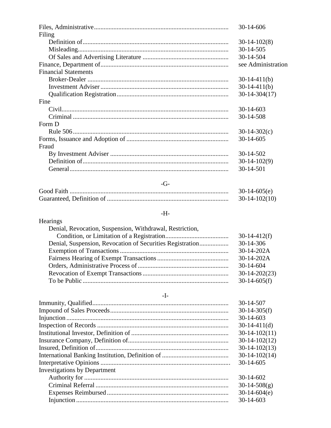|                             | 30-14-606          |
|-----------------------------|--------------------|
| Filing                      |                    |
|                             | $30-14-102(8)$     |
|                             | $30 - 14 - 505$    |
|                             | 30-14-504          |
|                             | see Administration |
| <b>Financial Statements</b> |                    |
|                             | $30-14-411(b)$     |
|                             | $30-14-411(b)$     |
|                             | $30-14-304(17)$    |
| Fine                        |                    |
|                             | $30-14-603$        |
|                             | 30-14-508          |
| Form D                      |                    |
|                             | $30-14-302(c)$     |
|                             | 30-14-605          |
| Fraud                       |                    |
|                             | 30-14-502          |
|                             | $30-14-102(9)$     |
|                             | 30-14-501          |
| $-G-$                       |                    |

| $30-14-605(e)$  |
|-----------------|
| $30-14-102(10)$ |

## -H-

| Hearings                                                 |                 |
|----------------------------------------------------------|-----------------|
| Denial, Revocation, Suspension, Withdrawal, Restriction, |                 |
|                                                          | $30-14-412(f)$  |
|                                                          | 30-14-306       |
|                                                          | $30-14-202A$    |
|                                                          | $30-14-202A$    |
|                                                          | $30-14-604$     |
|                                                          | $30-14-202(23)$ |
|                                                          | $30-14-605(f)$  |

 $\mathbf{-I}$ 

|                                     | 30-14-507       |
|-------------------------------------|-----------------|
|                                     | $30-14-305(f)$  |
|                                     | $30-14-603$     |
|                                     | $30-14-411(d)$  |
|                                     | $30-14-102(11)$ |
|                                     | $30-14-102(12)$ |
|                                     | $30-14-102(13)$ |
|                                     | $30-14-102(14)$ |
|                                     | $30-14-605$     |
| <b>Investigations by Department</b> |                 |
|                                     | $30-14-602$     |
|                                     | $30-14-508(g)$  |
|                                     | $30-14-604(e)$  |
|                                     | 30-14-603       |
|                                     |                 |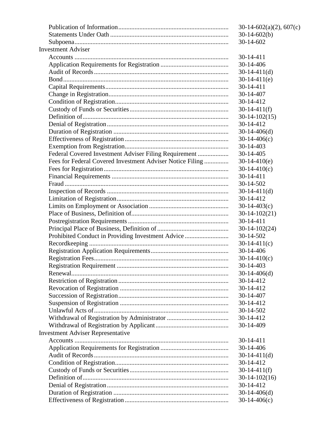|                                                           | $30-14-602(a)(2), 607(c)$ |
|-----------------------------------------------------------|---------------------------|
|                                                           | $30-14-602(b)$            |
|                                                           | 30-14-602                 |
| <b>Investment Adviser</b>                                 |                           |
|                                                           | $30-14-411$               |
|                                                           | 30-14-406                 |
|                                                           | $30-14-411(d)$            |
|                                                           | $30-14-411(e)$            |
|                                                           | 30-14-411                 |
|                                                           | 30-14-407                 |
|                                                           | 30-14-412                 |
|                                                           | $30-14-411(f)$            |
|                                                           | $30-14-102(15)$           |
|                                                           | 30-14-412                 |
|                                                           |                           |
|                                                           | $30-14-406(d)$            |
|                                                           | $30-14-406(c)$            |
|                                                           | 30-14-403                 |
| Federal Covered Investment Adviser Filing Requirement     | 30-14-405                 |
| Fees for Federal Covered Investment Adviser Notice Filing | $30-14-410(e)$            |
|                                                           | $30-14-410(c)$            |
|                                                           | 30-14-411                 |
|                                                           | 30-14-502                 |
|                                                           | $30-14-411(d)$            |
|                                                           | 30-14-412                 |
|                                                           | $30-14-403(c)$            |
|                                                           | $30-14-102(21)$           |
|                                                           | 30-14-411                 |
|                                                           | $30-14-102(24)$           |
| Prohibited Conduct in Providing Investment Advice         | 30-14-502                 |
|                                                           | $30-14-411(c)$            |
|                                                           | 30-14-406                 |
|                                                           | $30-14-410(c)$            |
|                                                           | 30-14-403                 |
|                                                           | $30-14-406(d)$            |
|                                                           | 30-14-412                 |
|                                                           | 30-14-412                 |
|                                                           | 30-14-407                 |
|                                                           | 30-14-412                 |
|                                                           | 30-14-502                 |
|                                                           | 30-14-412                 |
|                                                           | 30-14-409                 |
|                                                           |                           |
| <b>Investment Adviser Representative</b>                  |                           |
|                                                           | 30-14-411                 |
|                                                           | 30-14-406                 |
|                                                           | $30-14-411(d)$            |
|                                                           | 30-14-412                 |
|                                                           | $30-14-411(f)$            |
|                                                           | $30-14-102(16)$           |
|                                                           | 30-14-412                 |
|                                                           | $30-14-406(d)$            |
|                                                           | $30-14-406(c)$            |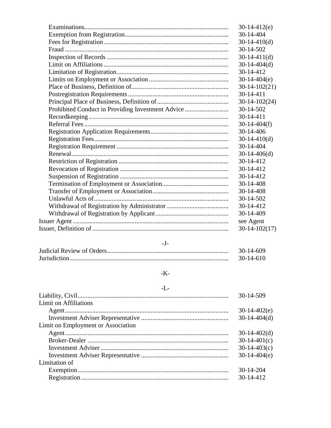|                                                   | $30-14-412(e)$  |
|---------------------------------------------------|-----------------|
|                                                   | 30-14-404       |
|                                                   | $30-14-410(d)$  |
|                                                   | 30-14-502       |
|                                                   | $30-14-411(d)$  |
|                                                   | $30-14-404(d)$  |
|                                                   | 30-14-412       |
|                                                   | $30-14-404(e)$  |
|                                                   | $30-14-102(21)$ |
|                                                   | 30-14-411       |
|                                                   | $30-14-102(24)$ |
| Prohibited Conduct in Providing Investment Advice | 30-14-502       |
|                                                   | 30-14-411       |
|                                                   | $30-14-404(f)$  |
|                                                   | 30-14-406       |
|                                                   | $30-14-410(d)$  |
|                                                   | 30-14-404       |
|                                                   | $30-14-406(d)$  |
|                                                   | 30-14-412       |
|                                                   | 30-14-412       |
|                                                   | 30-14-412       |
|                                                   | 30-14-408       |
|                                                   | 30-14-408       |
|                                                   | 30-14-502       |
|                                                   | 30-14-412       |
|                                                   | 30-14-409       |
|                                                   | see Agent       |
|                                                   | $30-14-102(17)$ |

## $-J-$

| $30-14-609$ |
|-------------|
| $30-14-610$ |

## $-K-$

## $-L$ -

|                                    | 30-14-509      |
|------------------------------------|----------------|
| Limit on Affiliations              |                |
|                                    | $30-14-402(e)$ |
|                                    | $30-14-404(d)$ |
| Limit on Employment or Association |                |
|                                    | $30-14-402(d)$ |
|                                    | $30-14-401(c)$ |
|                                    | $30-14-403(c)$ |
|                                    | $30-14-404(e)$ |
| Limitation of                      |                |
|                                    | 30-14-204      |
|                                    | 30-14-412      |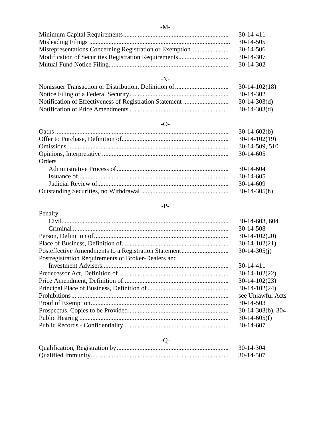| 30-14-411   |
|-------------|
| $30-14-505$ |
| 30-14-506   |
| 30-14-307   |
| 30-14-302   |

#### -N-

| $30-14-102(18)$ |
|-----------------|
| $30-14-302$     |
| $30-14-303(d)$  |
| $30-14-303(d)$  |

#### -O-

|               | $30-14-602(b)$  |
|---------------|-----------------|
|               | $30-14-102(19)$ |
|               | 30-14-509, 510  |
|               | $30-14-605$     |
| <b>Orders</b> |                 |
|               | $30-14-604$     |
|               | $30-14-605$     |
|               | $30-14-609$     |
|               | $30-14-305(h)$  |

#### -P-

## Penalty Civil....................................................................................................... 30-14-603, 604 Criminal ................................................................................................ 30-14-508 Person, Definition of................................................................................... 30-14-102(20) Place of Business, Definition of.................................................................. 30-14-102(21) Posteffective Amendments to a Registration Statement............................. 30-14-305(j) Postregistration Requirements of Broker-Dealers and Investment Advisers.............................................................................. 30-14-411 Predecessor Act, Definition of.................................................................... 30-14-102(22) Price Amendment, Definition of................................................................. 30-14-102(23) Principal Place of Business, Definition of.................................................. 30-14-102(24) Prohibitions................................................................................................. see Unlawful Acts Proof of Exemption..................................................................................... 30-14-503 Prospectus, Copies to be Provided.............................................................. 30-14-303(b), 304 Public Hearing ............................................................................................ 30-14-605(f) Public Records - Confidentiality................................................................. 30-14-607

#### -Q-

| $30-14-304$ |
|-------------|
| $30-14-507$ |

#### -M-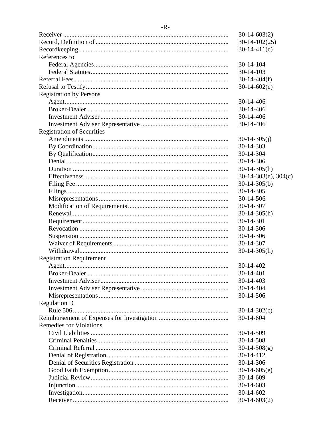|                                   | $30-14-603(2)$            |
|-----------------------------------|---------------------------|
|                                   | $30-14-102(25)$           |
|                                   | $30-14-411(c)$            |
| References to                     |                           |
|                                   | 30-14-104                 |
|                                   | $30 - 14 - 103$           |
|                                   | $30-14-404(f)$            |
|                                   | $30-14-602(c)$            |
| <b>Registration by Persons</b>    |                           |
|                                   | 30-14-406                 |
|                                   | 30-14-406                 |
|                                   | 30-14-406                 |
|                                   | 30-14-406                 |
|                                   |                           |
| <b>Registration of Securities</b> |                           |
|                                   | $30-14-305(i)$            |
|                                   | 30-14-303                 |
|                                   | 30-14-304                 |
|                                   | 30-14-306                 |
|                                   | $30-14-305(h)$            |
|                                   | $30-14-303(e)$ , $304(c)$ |
|                                   | $30-14-305(b)$            |
|                                   | 30-14-305                 |
|                                   | 30-14-506                 |
|                                   | 30-14-307                 |
|                                   | $30-14-305(h)$            |
|                                   | 30-14-301                 |
|                                   | 30-14-306                 |
|                                   | 30-14-306                 |
|                                   | 30-14-307                 |
|                                   | $30-14-305(h)$            |
| <b>Registration Requirement</b>   |                           |
|                                   | 30-14-402                 |
|                                   | 30-14-401                 |
|                                   | 30-14-403                 |
|                                   | 30-14-404                 |
|                                   | 30-14-506                 |
| <b>Regulation D</b>               |                           |
|                                   | $30-14-302(c)$            |
|                                   | 30-14-604                 |
| <b>Remedies for Violations</b>    |                           |
|                                   | 30-14-509                 |
|                                   | 30-14-508                 |
|                                   | $30-14-508(g)$            |
|                                   | 30-14-412                 |
|                                   | 30-14-306                 |
|                                   |                           |
|                                   | $30-14-605(e)$            |
|                                   | 30-14-609                 |
|                                   | 30-14-603                 |
|                                   | 30-14-602                 |
|                                   | $30-14-603(2)$            |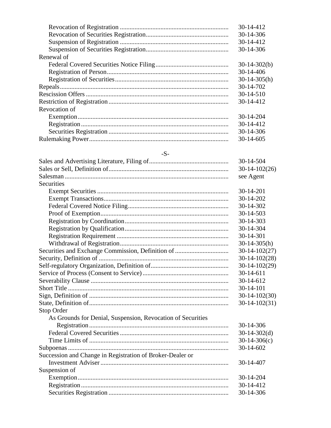|               | 30-14-412       |
|---------------|-----------------|
|               | 30-14-306       |
|               | 30-14-412       |
|               | 30-14-306       |
| Renewal of    |                 |
|               | $30-14-302(b)$  |
|               | 30-14-406       |
|               | $30-14-305(h)$  |
|               | 30-14-702       |
|               | $30 - 14 - 510$ |
|               | 30-14-412       |
| Revocation of |                 |
|               | 30-14-204       |
|               | 30-14-412       |
|               | 30-14-306       |
|               | $30 - 14 - 605$ |
|               |                 |

| ×            |  |
|--------------|--|
| ×<br>۰,<br>٩ |  |

|                                                             | 30-14-504       |
|-------------------------------------------------------------|-----------------|
|                                                             | $30-14-102(26)$ |
|                                                             | see Agent       |
| Securities                                                  |                 |
|                                                             | 30-14-201       |
|                                                             | 30-14-202       |
|                                                             | 30-14-302       |
|                                                             | 30-14-503       |
|                                                             | 30-14-303       |
|                                                             | 30-14-304       |
|                                                             | 30-14-301       |
|                                                             | $30-14-305(h)$  |
|                                                             | $30-14-102(27)$ |
|                                                             | $30-14-102(28)$ |
|                                                             | $30-14-102(29)$ |
|                                                             | 30-14-611       |
|                                                             | 30-14-612       |
|                                                             | 30-14-101       |
|                                                             | $30-14-102(30)$ |
|                                                             | $30-14-102(31)$ |
| Stop Order                                                  |                 |
| As Grounds for Denial, Suspension, Revocation of Securities |                 |
|                                                             | 30-14-306       |
|                                                             | $30-14-302(d)$  |
|                                                             | $30-14-306(c)$  |
|                                                             | 30-14-602       |
| Succession and Change in Registration of Broker-Dealer or   |                 |
|                                                             | 30-14-407       |
| Suspension of                                               |                 |
|                                                             | 30-14-204       |
|                                                             | 30-14-412       |
|                                                             | 30-14-306       |